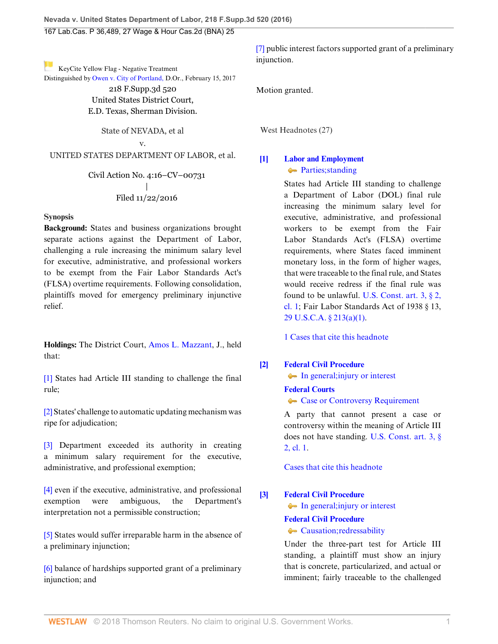[K](https://1.next.westlaw.com/Link/RelatedInformation/Flag?documentGuid=I8272d9e0f41e11e681b2a67ea2e2f62b&transitionType=Document&originationContext=docHeaderFlag&contextData=(sc.UserEnteredCitation) )eyCite Yellow Flag - Negative Treatment

Distinguished by [Owen v. City of Portland,](https://1.next.westlaw.com/Document/I8272d9e0f41e11e681b2a67ea2e2f62b/View/FullText.html?navigationPath=RelatedInfo%2Fv4%2Fkeycite%2Fnav%2F%3Fguid%3DI8272d9e0f41e11e681b2a67ea2e2f62b%26ss%3D2040357868%26ds%3D2040957107&listSource=RelatedInfo&list=NegativeCitingReferences&rank=0&originationContext=docHeader&transitionType=NegativeTreatment&contextData=%28sc.UserEnteredCitation%29 ) D.Or., February 15, 2017 218 F.Supp.3d 520 United States District Court, E.D. Texas, Sherman Division.

State of NEVADA, et al

v.

UNITED STATES DEPARTMENT OF LABOR, et al.

Civil Action No. 4:16–CV–00731 | Filed 11/22/2016

# **Synopsis**

**Background:** States and business organizations brought separate actions against the Department of Labor, challenging a rule increasing the minimum salary level for executive, administrative, and professional workers to be exempt from the Fair Labor Standards Act's (FLSA) overtime requirements. Following consolidation, plaintiffs moved for emergency preliminary injunctive relief.

**Holdings:** The District Court, [Amos L. Mazzant,](http://www.westlaw.com/Link/Document/FullText?findType=h&pubNum=176284&cite=0350890701&originatingDoc=I108f8530b17511e6afc8be5a5c08bae9&refType=RQ&originationContext=document&vr=3.0&rs=cblt1.0&transitionType=DocumentItem&contextData=(sc.UserEnteredCitation)) J., held that:

[\[1\]](#page-0-0) States had Article III standing to challenge the final rule;

[\[2\]](#page-1-0) States' challenge to automatic updating mechanism was ripe for adjudication;

[\[3\]](#page-2-0) Department exceeded its authority in creating a minimum salary requirement for the executive, administrative, and professional exemption;

[\[4\]](#page-2-1) even if the executive, administrative, and professional exemption were ambiguous, the Department's interpretation not a permissible construction;

[\[5\]](#page-3-0) States would suffer irreparable harm in the absence of a preliminary injunction;

[\[6\]](#page-3-1) balance of hardships supported grant of a preliminary injunction; and

[\[7\]](#page-4-0) public interest factors supported grant of a preliminary injunction.

Motion granted.

West Headnotes (27)

# <span id="page-0-0"></span>**[\[1\]](#page-6-0) [Labor and Employment](http://www.westlaw.com/Browse/Home/KeyNumber/231H/View.html?docGuid=I108f8530b17511e6afc8be5a5c08bae9&originationContext=document&vr=3.0&rs=cblt1.0&transitionType=DocumentItem&contextData=(sc.UserEnteredCitation))** • [Parties; standing](http://www.westlaw.com/Browse/Home/KeyNumber/231Hk2372/View.html?docGuid=I108f8530b17511e6afc8be5a5c08bae9&originationContext=document&vr=3.0&rs=cblt1.0&transitionType=DocumentItem&contextData=(sc.UserEnteredCitation))

States had Article III standing to challenge a Department of Labor (DOL) final rule increasing the minimum salary level for executive, administrative, and professional workers to be exempt from the Fair Labor Standards Act's (FLSA) overtime requirements, where States faced imminent monetary loss, in the form of higher wages, that were traceable to the final rule, and States would receive redress if the final rule was found to be unlawful. [U.S. Const. art. 3, § 2,](http://www.westlaw.com/Link/Document/FullText?findType=L&pubNum=1000583&cite=USCOARTIIIS2CL1&originatingDoc=I108f8530b17511e6afc8be5a5c08bae9&refType=LQ&originationContext=document&vr=3.0&rs=cblt1.0&transitionType=DocumentItem&contextData=(sc.UserEnteredCitation)) [cl. 1](http://www.westlaw.com/Link/Document/FullText?findType=L&pubNum=1000583&cite=USCOARTIIIS2CL1&originatingDoc=I108f8530b17511e6afc8be5a5c08bae9&refType=LQ&originationContext=document&vr=3.0&rs=cblt1.0&transitionType=DocumentItem&contextData=(sc.UserEnteredCitation)); Fair Labor Standards Act of 1938 § 13, [29 U.S.C.A. § 213\(a\)\(1\).](http://www.westlaw.com/Link/Document/FullText?findType=L&pubNum=1000546&cite=29USCAS213&originatingDoc=I108f8530b17511e6afc8be5a5c08bae9&refType=SP&originationContext=document&vr=3.0&rs=cblt1.0&transitionType=DocumentItem&contextData=(sc.UserEnteredCitation)#co_pp_7b9b000044381)

[1 Cases that cite this headnote](http://www.westlaw.com/Link/RelatedInformation/DocHeadnoteLink?docGuid=I108f8530b17511e6afc8be5a5c08bae9&headnoteId=204035786800320180517170102&originationContext=document&vr=3.0&rs=cblt1.0&transitionType=CitingReferences&contextData=(sc.UserEnteredCitation))

# <span id="page-0-1"></span>**[\[2\]](#page-6-1) [Federal Civil Procedure](http://www.westlaw.com/Browse/Home/KeyNumber/170A/View.html?docGuid=I108f8530b17511e6afc8be5a5c08bae9&originationContext=document&vr=3.0&rs=cblt1.0&transitionType=DocumentItem&contextData=(sc.UserEnteredCitation))**

• [In general; injury or interest](http://www.westlaw.com/Browse/Home/KeyNumber/170Ak103.2/View.html?docGuid=I108f8530b17511e6afc8be5a5c08bae9&originationContext=document&vr=3.0&rs=cblt1.0&transitionType=DocumentItem&contextData=(sc.UserEnteredCitation))

**[Federal Courts](http://www.westlaw.com/Browse/Home/KeyNumber/170B/View.html?docGuid=I108f8530b17511e6afc8be5a5c08bae9&originationContext=document&vr=3.0&rs=cblt1.0&transitionType=DocumentItem&contextData=(sc.UserEnteredCitation))**

[Case or Controversy Requirement](http://www.westlaw.com/Browse/Home/KeyNumber/170BIII/View.html?docGuid=I108f8530b17511e6afc8be5a5c08bae9&originationContext=document&vr=3.0&rs=cblt1.0&transitionType=DocumentItem&contextData=(sc.UserEnteredCitation))

A party that cannot present a case or controversy within the meaning of Article III does not have standing. [U.S. Const. art. 3, §](http://www.westlaw.com/Link/Document/FullText?findType=L&pubNum=1000583&cite=USCOARTIIIS2CL1&originatingDoc=I108f8530b17511e6afc8be5a5c08bae9&refType=LQ&originationContext=document&vr=3.0&rs=cblt1.0&transitionType=DocumentItem&contextData=(sc.UserEnteredCitation)) [2, cl. 1](http://www.westlaw.com/Link/Document/FullText?findType=L&pubNum=1000583&cite=USCOARTIIIS2CL1&originatingDoc=I108f8530b17511e6afc8be5a5c08bae9&refType=LQ&originationContext=document&vr=3.0&rs=cblt1.0&transitionType=DocumentItem&contextData=(sc.UserEnteredCitation)).

[Cases that cite this headnote](http://www.westlaw.com/Link/RelatedInformation/DocHeadnoteLink?docGuid=I108f8530b17511e6afc8be5a5c08bae9&headnoteId=204035786800120180517170102&originationContext=document&vr=3.0&rs=cblt1.0&transitionType=CitingReferences&contextData=(sc.UserEnteredCitation))

<span id="page-0-2"></span>**[\[3\]](#page-6-2) [Federal Civil Procedure](http://www.westlaw.com/Browse/Home/KeyNumber/170A/View.html?docGuid=I108f8530b17511e6afc8be5a5c08bae9&originationContext=document&vr=3.0&rs=cblt1.0&transitionType=DocumentItem&contextData=(sc.UserEnteredCitation))**

• [In general; injury or interest](http://www.westlaw.com/Browse/Home/KeyNumber/170Ak103.2/View.html?docGuid=I108f8530b17511e6afc8be5a5c08bae9&originationContext=document&vr=3.0&rs=cblt1.0&transitionType=DocumentItem&contextData=(sc.UserEnteredCitation))

# **[Federal Civil Procedure](http://www.westlaw.com/Browse/Home/KeyNumber/170A/View.html?docGuid=I108f8530b17511e6afc8be5a5c08bae9&originationContext=document&vr=3.0&rs=cblt1.0&transitionType=DocumentItem&contextData=(sc.UserEnteredCitation))**

**[Causation; redressability](http://www.westlaw.com/Browse/Home/KeyNumber/170Ak103.3/View.html?docGuid=I108f8530b17511e6afc8be5a5c08bae9&originationContext=document&vr=3.0&rs=cblt1.0&transitionType=DocumentItem&contextData=(sc.UserEnteredCitation))** 

Under the three-part test for Article III standing, a plaintiff must show an injury that is concrete, particularized, and actual or imminent; fairly traceable to the challenged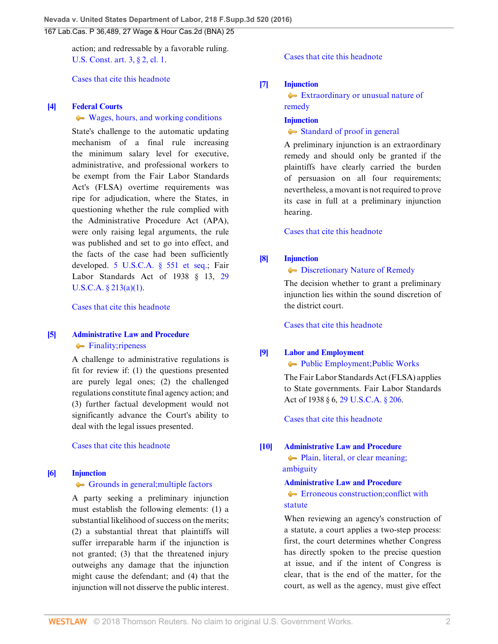action; and redressable by a favorable ruling. [U.S. Const. art. 3, § 2, cl. 1](http://www.westlaw.com/Link/Document/FullText?findType=L&pubNum=1000583&cite=USCOARTIIIS2CL1&originatingDoc=I108f8530b17511e6afc8be5a5c08bae9&refType=LQ&originationContext=document&vr=3.0&rs=cblt1.0&transitionType=DocumentItem&contextData=(sc.UserEnteredCitation)).

[Cases that cite this headnote](http://www.westlaw.com/Link/RelatedInformation/DocHeadnoteLink?docGuid=I108f8530b17511e6afc8be5a5c08bae9&headnoteId=204035786800220180517170102&originationContext=document&vr=3.0&rs=cblt1.0&transitionType=CitingReferences&contextData=(sc.UserEnteredCitation))

## <span id="page-1-0"></span>**[\[4\]](#page-6-3) [Federal Courts](http://www.westlaw.com/Browse/Home/KeyNumber/170B/View.html?docGuid=I108f8530b17511e6afc8be5a5c08bae9&originationContext=document&vr=3.0&rs=cblt1.0&transitionType=DocumentItem&contextData=(sc.UserEnteredCitation))**

## [Wages, hours, and working conditions](http://www.westlaw.com/Browse/Home/KeyNumber/170Bk2154/View.html?docGuid=I108f8530b17511e6afc8be5a5c08bae9&originationContext=document&vr=3.0&rs=cblt1.0&transitionType=DocumentItem&contextData=(sc.UserEnteredCitation))

State's challenge to the automatic updating mechanism of a final rule increasing the minimum salary level for executive, administrative, and professional workers to be exempt from the Fair Labor Standards Act's (FLSA) overtime requirements was ripe for adjudication, where the States, in questioning whether the rule complied with the Administrative Procedure Act (APA), were only raising legal arguments, the rule was published and set to go into effect, and the facts of the case had been sufficiently developed. [5 U.S.C.A. § 551 et seq.](http://www.westlaw.com/Link/Document/FullText?findType=L&pubNum=1000546&cite=5USCAS551&originatingDoc=I108f8530b17511e6afc8be5a5c08bae9&refType=LQ&originationContext=document&vr=3.0&rs=cblt1.0&transitionType=DocumentItem&contextData=(sc.UserEnteredCitation)); Fair Labor Standards Act of 1938 § 13, [29](http://www.westlaw.com/Link/Document/FullText?findType=L&pubNum=1000546&cite=29USCAS213&originatingDoc=I108f8530b17511e6afc8be5a5c08bae9&refType=SP&originationContext=document&vr=3.0&rs=cblt1.0&transitionType=DocumentItem&contextData=(sc.UserEnteredCitation)#co_pp_7b9b000044381)  $U.S.C.A. \& 213(a)(1)$ .

[Cases that cite this headnote](http://www.westlaw.com/Link/RelatedInformation/DocHeadnoteLink?docGuid=I108f8530b17511e6afc8be5a5c08bae9&headnoteId=204035786800520180517170102&originationContext=document&vr=3.0&rs=cblt1.0&transitionType=CitingReferences&contextData=(sc.UserEnteredCitation))

# <span id="page-1-1"></span>**[\[5\]](#page-6-4) [Administrative Law and Procedure](http://www.westlaw.com/Browse/Home/KeyNumber/15A/View.html?docGuid=I108f8530b17511e6afc8be5a5c08bae9&originationContext=document&vr=3.0&rs=cblt1.0&transitionType=DocumentItem&contextData=(sc.UserEnteredCitation))**  $\leftarrow$  [Finality; ripeness](http://www.westlaw.com/Browse/Home/KeyNumber/15Ak704/View.html?docGuid=I108f8530b17511e6afc8be5a5c08bae9&originationContext=document&vr=3.0&rs=cblt1.0&transitionType=DocumentItem&contextData=(sc.UserEnteredCitation))

A challenge to administrative regulations is fit for review if: (1) the questions presented are purely legal ones; (2) the challenged regulations constitute final agency action; and (3) further factual development would not significantly advance the Court's ability to deal with the legal issues presented.

[Cases that cite this headnote](http://www.westlaw.com/Link/RelatedInformation/DocHeadnoteLink?docGuid=I108f8530b17511e6afc8be5a5c08bae9&headnoteId=204035786800420180517170102&originationContext=document&vr=3.0&rs=cblt1.0&transitionType=CitingReferences&contextData=(sc.UserEnteredCitation))

## <span id="page-1-2"></span>**[\[6\]](#page-6-5) [Injunction](http://www.westlaw.com/Browse/Home/KeyNumber/212/View.html?docGuid=I108f8530b17511e6afc8be5a5c08bae9&originationContext=document&vr=3.0&rs=cblt1.0&transitionType=DocumentItem&contextData=(sc.UserEnteredCitation))**

## [Grounds in general; multiple factors](http://www.westlaw.com/Browse/Home/KeyNumber/212k1092/View.html?docGuid=I108f8530b17511e6afc8be5a5c08bae9&originationContext=document&vr=3.0&rs=cblt1.0&transitionType=DocumentItem&contextData=(sc.UserEnteredCitation))

A party seeking a preliminary injunction must establish the following elements: (1) a substantial likelihood of success on the merits; (2) a substantial threat that plaintiffs will suffer irreparable harm if the injunction is not granted; (3) that the threatened injury outweighs any damage that the injunction might cause the defendant; and (4) that the injunction will not disserve the public interest.

# [Cases that cite this headnote](http://www.westlaw.com/Link/RelatedInformation/DocHeadnoteLink?docGuid=I108f8530b17511e6afc8be5a5c08bae9&headnoteId=204035786800620180517170102&originationContext=document&vr=3.0&rs=cblt1.0&transitionType=CitingReferences&contextData=(sc.UserEnteredCitation))

## <span id="page-1-3"></span>**[\[7\]](#page-6-6) [Injunction](http://www.westlaw.com/Browse/Home/KeyNumber/212/View.html?docGuid=I108f8530b17511e6afc8be5a5c08bae9&originationContext=document&vr=3.0&rs=cblt1.0&transitionType=DocumentItem&contextData=(sc.UserEnteredCitation))**

[Extraordinary or unusual nature of](http://www.westlaw.com/Browse/Home/KeyNumber/212k1075/View.html?docGuid=I108f8530b17511e6afc8be5a5c08bae9&originationContext=document&vr=3.0&rs=cblt1.0&transitionType=DocumentItem&contextData=(sc.UserEnteredCitation)) [remedy](http://www.westlaw.com/Browse/Home/KeyNumber/212k1075/View.html?docGuid=I108f8530b17511e6afc8be5a5c08bae9&originationContext=document&vr=3.0&rs=cblt1.0&transitionType=DocumentItem&contextData=(sc.UserEnteredCitation))

**[Injunction](http://www.westlaw.com/Browse/Home/KeyNumber/212/View.html?docGuid=I108f8530b17511e6afc8be5a5c08bae9&originationContext=document&vr=3.0&rs=cblt1.0&transitionType=DocumentItem&contextData=(sc.UserEnteredCitation))**

## $\blacktriangleright$  [Standard of proof in general](http://www.westlaw.com/Browse/Home/KeyNumber/212k1569/View.html?docGuid=I108f8530b17511e6afc8be5a5c08bae9&originationContext=document&vr=3.0&rs=cblt1.0&transitionType=DocumentItem&contextData=(sc.UserEnteredCitation))

A preliminary injunction is an extraordinary remedy and should only be granted if the plaintiffs have clearly carried the burden of persuasion on all four requirements; nevertheless, a movant is not required to prove its case in full at a preliminary injunction hearing.

[Cases that cite this headnote](http://www.westlaw.com/Link/RelatedInformation/DocHeadnoteLink?docGuid=I108f8530b17511e6afc8be5a5c08bae9&headnoteId=204035786800720180517170102&originationContext=document&vr=3.0&rs=cblt1.0&transitionType=CitingReferences&contextData=(sc.UserEnteredCitation))

# <span id="page-1-4"></span>**[\[8\]](#page-6-7) [Injunction](http://www.westlaw.com/Browse/Home/KeyNumber/212/View.html?docGuid=I108f8530b17511e6afc8be5a5c08bae9&originationContext=document&vr=3.0&rs=cblt1.0&transitionType=DocumentItem&contextData=(sc.UserEnteredCitation))**

## **[Discretionary Nature of Remedy](http://www.westlaw.com/Browse/Home/KeyNumber/212k1077/View.html?docGuid=I108f8530b17511e6afc8be5a5c08bae9&originationContext=document&vr=3.0&rs=cblt1.0&transitionType=DocumentItem&contextData=(sc.UserEnteredCitation))**

The decision whether to grant a preliminary injunction lies within the sound discretion of the district court.

[Cases that cite this headnote](http://www.westlaw.com/Link/RelatedInformation/DocHeadnoteLink?docGuid=I108f8530b17511e6afc8be5a5c08bae9&headnoteId=204035786800820180517170102&originationContext=document&vr=3.0&rs=cblt1.0&transitionType=CitingReferences&contextData=(sc.UserEnteredCitation))

## <span id="page-1-5"></span>**[\[9\]](#page-7-0) [Labor and Employment](http://www.westlaw.com/Browse/Home/KeyNumber/231H/View.html?docGuid=I108f8530b17511e6afc8be5a5c08bae9&originationContext=document&vr=3.0&rs=cblt1.0&transitionType=DocumentItem&contextData=(sc.UserEnteredCitation))**

### [Public Employment; Public Works](http://www.westlaw.com/Browse/Home/KeyNumber/231Hk2239/View.html?docGuid=I108f8530b17511e6afc8be5a5c08bae9&originationContext=document&vr=3.0&rs=cblt1.0&transitionType=DocumentItem&contextData=(sc.UserEnteredCitation))

The Fair Labor Standards Act (FLSA) applies to State governments. Fair Labor Standards Act of 1938 § 6, [29 U.S.C.A. § 206.](http://www.westlaw.com/Link/Document/FullText?findType=L&pubNum=1000546&cite=29USCAS206&originatingDoc=I108f8530b17511e6afc8be5a5c08bae9&refType=LQ&originationContext=document&vr=3.0&rs=cblt1.0&transitionType=DocumentItem&contextData=(sc.UserEnteredCitation))

[Cases that cite this headnote](http://www.westlaw.com/Link/RelatedInformation/DocHeadnoteLink?docGuid=I108f8530b17511e6afc8be5a5c08bae9&headnoteId=204035786800920180517170102&originationContext=document&vr=3.0&rs=cblt1.0&transitionType=CitingReferences&contextData=(sc.UserEnteredCitation))

# <span id="page-1-6"></span>**[\[10\]](#page-7-1) [Administrative Law and Procedure](http://www.westlaw.com/Browse/Home/KeyNumber/15A/View.html?docGuid=I108f8530b17511e6afc8be5a5c08bae9&originationContext=document&vr=3.0&rs=cblt1.0&transitionType=DocumentItem&contextData=(sc.UserEnteredCitation))**

• Plain, literal, or clear meaning;  [ambiguity](http://www.westlaw.com/Browse/Home/KeyNumber/15Ak432/View.html?docGuid=I108f8530b17511e6afc8be5a5c08bae9&originationContext=document&vr=3.0&rs=cblt1.0&transitionType=DocumentItem&contextData=(sc.UserEnteredCitation))

# **[Administrative Law and Procedure](http://www.westlaw.com/Browse/Home/KeyNumber/15A/View.html?docGuid=I108f8530b17511e6afc8be5a5c08bae9&originationContext=document&vr=3.0&rs=cblt1.0&transitionType=DocumentItem&contextData=(sc.UserEnteredCitation)) E**rroneous construction; conflict with [statute](http://www.westlaw.com/Browse/Home/KeyNumber/15Ak435/View.html?docGuid=I108f8530b17511e6afc8be5a5c08bae9&originationContext=document&vr=3.0&rs=cblt1.0&transitionType=DocumentItem&contextData=(sc.UserEnteredCitation))

When reviewing an agency's construction of a statute, a court applies a two-step process: first, the court determines whether Congress has directly spoken to the precise question at issue, and if the intent of Congress is clear, that is the end of the matter, for the court, as well as the agency, must give effect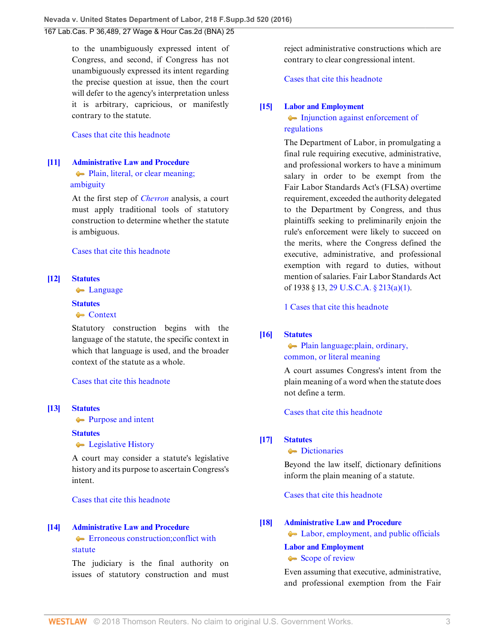to the unambiguously expressed intent of Congress, and second, if Congress has not unambiguously expressed its intent regarding the precise question at issue, then the court will defer to the agency's interpretation unless it is arbitrary, capricious, or manifestly contrary to the statute.

# [Cases that cite this headnote](http://www.westlaw.com/Link/RelatedInformation/DocHeadnoteLink?docGuid=I108f8530b17511e6afc8be5a5c08bae9&headnoteId=204035786801020180517170102&originationContext=document&vr=3.0&rs=cblt1.0&transitionType=CitingReferences&contextData=(sc.UserEnteredCitation))

# <span id="page-2-2"></span>**[\[11\]](#page-8-0) [Administrative Law and Procedure](http://www.westlaw.com/Browse/Home/KeyNumber/15A/View.html?docGuid=I108f8530b17511e6afc8be5a5c08bae9&originationContext=document&vr=3.0&rs=cblt1.0&transitionType=DocumentItem&contextData=(sc.UserEnteredCitation))**

# • Plain, literal, or clear meaning;  [ambiguity](http://www.westlaw.com/Browse/Home/KeyNumber/15Ak432/View.html?docGuid=I108f8530b17511e6afc8be5a5c08bae9&originationContext=document&vr=3.0&rs=cblt1.0&transitionType=DocumentItem&contextData=(sc.UserEnteredCitation))

At the first step of *[Chevron](http://www.westlaw.com/Link/Document/FullText?findType=Y&serNum=1984130736&pubNum=0000708&originatingDoc=I108f8530b17511e6afc8be5a5c08bae9&refType=RP&originationContext=document&vr=3.0&rs=cblt1.0&transitionType=DocumentItem&contextData=(sc.UserEnteredCitation))* analysis, a court must apply traditional tools of statutory construction to determine whether the statute is ambiguous.

## [Cases that cite this headnote](http://www.westlaw.com/Link/RelatedInformation/DocHeadnoteLink?docGuid=I108f8530b17511e6afc8be5a5c08bae9&headnoteId=204035786801120180517170102&originationContext=document&vr=3.0&rs=cblt1.0&transitionType=CitingReferences&contextData=(sc.UserEnteredCitation))

#### <span id="page-2-3"></span>**[\[12\]](#page-8-1) [Statutes](http://www.westlaw.com/Browse/Home/KeyNumber/361/View.html?docGuid=I108f8530b17511e6afc8be5a5c08bae9&originationContext=document&vr=3.0&rs=cblt1.0&transitionType=DocumentItem&contextData=(sc.UserEnteredCitation))**

**Company** 

#### **[Statutes](http://www.westlaw.com/Browse/Home/KeyNumber/361/View.html?docGuid=I108f8530b17511e6afc8be5a5c08bae9&originationContext=document&vr=3.0&rs=cblt1.0&transitionType=DocumentItem&contextData=(sc.UserEnteredCitation))**

## **[Context](http://www.westlaw.com/Browse/Home/KeyNumber/361k1153/View.html?docGuid=I108f8530b17511e6afc8be5a5c08bae9&originationContext=document&vr=3.0&rs=cblt1.0&transitionType=DocumentItem&contextData=(sc.UserEnteredCitation))**

Statutory construction begins with the language of the statute, the specific context in which that language is used, and the broader context of the statute as a whole.

# [Cases that cite this headnote](http://www.westlaw.com/Link/RelatedInformation/DocHeadnoteLink?docGuid=I108f8530b17511e6afc8be5a5c08bae9&headnoteId=204035786801520180517170102&originationContext=document&vr=3.0&rs=cblt1.0&transitionType=CitingReferences&contextData=(sc.UserEnteredCitation))

#### <span id="page-2-4"></span>**[\[13\]](#page-8-2) [Statutes](http://www.westlaw.com/Browse/Home/KeyNumber/361/View.html?docGuid=I108f8530b17511e6afc8be5a5c08bae9&originationContext=document&vr=3.0&rs=cblt1.0&transitionType=DocumentItem&contextData=(sc.UserEnteredCitation))**

**[Purpose and intent](http://www.westlaw.com/Browse/Home/KeyNumber/361k1076/View.html?docGuid=I108f8530b17511e6afc8be5a5c08bae9&originationContext=document&vr=3.0&rs=cblt1.0&transitionType=DocumentItem&contextData=(sc.UserEnteredCitation))** 

#### **[Statutes](http://www.westlaw.com/Browse/Home/KeyNumber/361/View.html?docGuid=I108f8530b17511e6afc8be5a5c08bae9&originationContext=document&vr=3.0&rs=cblt1.0&transitionType=DocumentItem&contextData=(sc.UserEnteredCitation))**

**[Legislative History](http://www.westlaw.com/Browse/Home/KeyNumber/361III(H)/View.html?docGuid=I108f8530b17511e6afc8be5a5c08bae9&originationContext=document&vr=3.0&rs=cblt1.0&transitionType=DocumentItem&contextData=(sc.UserEnteredCitation))** 

A court may consider a statute's legislative history and its purpose to ascertain Congress's intent.

[Cases that cite this headnote](http://www.westlaw.com/Link/RelatedInformation/DocHeadnoteLink?docGuid=I108f8530b17511e6afc8be5a5c08bae9&headnoteId=204035786801620180517170102&originationContext=document&vr=3.0&rs=cblt1.0&transitionType=CitingReferences&contextData=(sc.UserEnteredCitation))

## <span id="page-2-5"></span>**[\[14\]](#page-8-3) [Administrative Law and Procedure](http://www.westlaw.com/Browse/Home/KeyNumber/15A/View.html?docGuid=I108f8530b17511e6afc8be5a5c08bae9&originationContext=document&vr=3.0&rs=cblt1.0&transitionType=DocumentItem&contextData=(sc.UserEnteredCitation))**

# **E**rroneous construction; conflict with [statute](http://www.westlaw.com/Browse/Home/KeyNumber/15Ak435/View.html?docGuid=I108f8530b17511e6afc8be5a5c08bae9&originationContext=document&vr=3.0&rs=cblt1.0&transitionType=DocumentItem&contextData=(sc.UserEnteredCitation))

The judiciary is the final authority on issues of statutory construction and must reject administrative constructions which are contrary to clear congressional intent.

#### [Cases that cite this headnote](http://www.westlaw.com/Link/RelatedInformation/DocHeadnoteLink?docGuid=I108f8530b17511e6afc8be5a5c08bae9&headnoteId=204035786801220180517170102&originationContext=document&vr=3.0&rs=cblt1.0&transitionType=CitingReferences&contextData=(sc.UserEnteredCitation))

### <span id="page-2-0"></span>**[\[15\]](#page-8-4) [Labor and Employment](http://www.westlaw.com/Browse/Home/KeyNumber/231H/View.html?docGuid=I108f8530b17511e6afc8be5a5c08bae9&originationContext=document&vr=3.0&rs=cblt1.0&transitionType=DocumentItem&contextData=(sc.UserEnteredCitation))**

# [Injunction against enforcement of](http://www.westlaw.com/Browse/Home/KeyNumber/231Hk2423/View.html?docGuid=I108f8530b17511e6afc8be5a5c08bae9&originationContext=document&vr=3.0&rs=cblt1.0&transitionType=DocumentItem&contextData=(sc.UserEnteredCitation)) [regulations](http://www.westlaw.com/Browse/Home/KeyNumber/231Hk2423/View.html?docGuid=I108f8530b17511e6afc8be5a5c08bae9&originationContext=document&vr=3.0&rs=cblt1.0&transitionType=DocumentItem&contextData=(sc.UserEnteredCitation))

The Department of Labor, in promulgating a final rule requiring executive, administrative, and professional workers to have a minimum salary in order to be exempt from the Fair Labor Standards Act's (FLSA) overtime requirement, exceeded the authority delegated to the Department by Congress, and thus plaintiffs seeking to preliminarily enjoin the rule's enforcement were likely to succeed on the merits, where the Congress defined the executive, administrative, and professional exemption with regard to duties, without mention of salaries. Fair Labor Standards Act of 1938 § 13, [29 U.S.C.A. § 213\(a\)\(1\)](http://www.westlaw.com/Link/Document/FullText?findType=L&pubNum=1000546&cite=29USCAS213&originatingDoc=I108f8530b17511e6afc8be5a5c08bae9&refType=SP&originationContext=document&vr=3.0&rs=cblt1.0&transitionType=DocumentItem&contextData=(sc.UserEnteredCitation)#co_pp_7b9b000044381).

[1 Cases that cite this headnote](http://www.westlaw.com/Link/RelatedInformation/DocHeadnoteLink?docGuid=I108f8530b17511e6afc8be5a5c08bae9&headnoteId=204035786801720180517170102&originationContext=document&vr=3.0&rs=cblt1.0&transitionType=CitingReferences&contextData=(sc.UserEnteredCitation))

# <span id="page-2-6"></span>**[\[16\]](#page-8-5) [Statutes](http://www.westlaw.com/Browse/Home/KeyNumber/361/View.html?docGuid=I108f8530b17511e6afc8be5a5c08bae9&originationContext=document&vr=3.0&rs=cblt1.0&transitionType=DocumentItem&contextData=(sc.UserEnteredCitation))**

# **[Plain language; plain, ordinary,](http://www.westlaw.com/Browse/Home/KeyNumber/361k1368/View.html?docGuid=I108f8530b17511e6afc8be5a5c08bae9&originationContext=document&vr=3.0&rs=cblt1.0&transitionType=DocumentItem&contextData=(sc.UserEnteredCitation))** [common, or literal meaning](http://www.westlaw.com/Browse/Home/KeyNumber/361k1368/View.html?docGuid=I108f8530b17511e6afc8be5a5c08bae9&originationContext=document&vr=3.0&rs=cblt1.0&transitionType=DocumentItem&contextData=(sc.UserEnteredCitation))

A court assumes Congress's intent from the plain meaning of a word when the statute does not define a term.

[Cases that cite this headnote](http://www.westlaw.com/Link/RelatedInformation/DocHeadnoteLink?docGuid=I108f8530b17511e6afc8be5a5c08bae9&headnoteId=204035786801320180517170102&originationContext=document&vr=3.0&rs=cblt1.0&transitionType=CitingReferences&contextData=(sc.UserEnteredCitation))

#### <span id="page-2-7"></span>**[\[17\]](#page-8-6) [Statutes](http://www.westlaw.com/Browse/Home/KeyNumber/361/View.html?docGuid=I108f8530b17511e6afc8be5a5c08bae9&originationContext=document&vr=3.0&rs=cblt1.0&transitionType=DocumentItem&contextData=(sc.UserEnteredCitation))**

# **[Dictionaries](http://www.westlaw.com/Browse/Home/KeyNumber/361k1181/View.html?docGuid=I108f8530b17511e6afc8be5a5c08bae9&originationContext=document&vr=3.0&rs=cblt1.0&transitionType=DocumentItem&contextData=(sc.UserEnteredCitation))**

Beyond the law itself, dictionary definitions inform the plain meaning of a statute.

[Cases that cite this headnote](http://www.westlaw.com/Link/RelatedInformation/DocHeadnoteLink?docGuid=I108f8530b17511e6afc8be5a5c08bae9&headnoteId=204035786801420180517170102&originationContext=document&vr=3.0&rs=cblt1.0&transitionType=CitingReferences&contextData=(sc.UserEnteredCitation))

# <span id="page-2-1"></span>**[\[18\]](#page-9-0) [Administrative Law and Procedure](http://www.westlaw.com/Browse/Home/KeyNumber/15A/View.html?docGuid=I108f8530b17511e6afc8be5a5c08bae9&originationContext=document&vr=3.0&rs=cblt1.0&transitionType=DocumentItem&contextData=(sc.UserEnteredCitation))**

• [Labor, employment, and public officials](http://www.westlaw.com/Browse/Home/KeyNumber/15Ak438(15)/View.html?docGuid=I108f8530b17511e6afc8be5a5c08bae9&originationContext=document&vr=3.0&rs=cblt1.0&transitionType=DocumentItem&contextData=(sc.UserEnteredCitation))

#### **[Labor and Employment](http://www.westlaw.com/Browse/Home/KeyNumber/231H/View.html?docGuid=I108f8530b17511e6afc8be5a5c08bae9&originationContext=document&vr=3.0&rs=cblt1.0&transitionType=DocumentItem&contextData=(sc.UserEnteredCitation))**

#### [Scope of review](http://www.westlaw.com/Browse/Home/KeyNumber/231Hk2357/View.html?docGuid=I108f8530b17511e6afc8be5a5c08bae9&originationContext=document&vr=3.0&rs=cblt1.0&transitionType=DocumentItem&contextData=(sc.UserEnteredCitation))

Even assuming that executive, administrative, and professional exemption from the Fair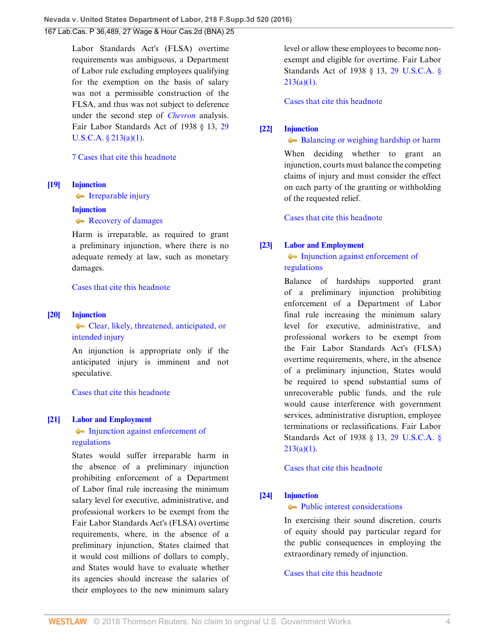Labor Standards Act's (FLSA) overtime requirements was ambiguous, a Department of Labor rule excluding employees qualifying for the exemption on the basis of salary was not a permissible construction of the FLSA, and thus was not subject to deference under the second step of *[Chevron](http://www.westlaw.com/Link/Document/FullText?findType=Y&serNum=1984130736&pubNum=0000708&originatingDoc=I108f8530b17511e6afc8be5a5c08bae9&refType=RP&originationContext=document&vr=3.0&rs=cblt1.0&transitionType=DocumentItem&contextData=(sc.UserEnteredCitation))* analysis. Fair Labor Standards Act of 1938 § 13, [29](http://www.westlaw.com/Link/Document/FullText?findType=L&pubNum=1000546&cite=29USCAS213&originatingDoc=I108f8530b17511e6afc8be5a5c08bae9&refType=SP&originationContext=document&vr=3.0&rs=cblt1.0&transitionType=DocumentItem&contextData=(sc.UserEnteredCitation)#co_pp_7b9b000044381) [U.S.C.A. § 213\(a\)\(1\)](http://www.westlaw.com/Link/Document/FullText?findType=L&pubNum=1000546&cite=29USCAS213&originatingDoc=I108f8530b17511e6afc8be5a5c08bae9&refType=SP&originationContext=document&vr=3.0&rs=cblt1.0&transitionType=DocumentItem&contextData=(sc.UserEnteredCitation)#co_pp_7b9b000044381).

# [7 Cases that cite this headnote](http://www.westlaw.com/Link/RelatedInformation/DocHeadnoteLink?docGuid=I108f8530b17511e6afc8be5a5c08bae9&headnoteId=204035786801820180517170102&originationContext=document&vr=3.0&rs=cblt1.0&transitionType=CitingReferences&contextData=(sc.UserEnteredCitation))

#### <span id="page-3-2"></span>**[\[19\]](#page-10-0) [Injunction](http://www.westlaw.com/Browse/Home/KeyNumber/212/View.html?docGuid=I108f8530b17511e6afc8be5a5c08bae9&originationContext=document&vr=3.0&rs=cblt1.0&transitionType=DocumentItem&contextData=(sc.UserEnteredCitation))**

**[Irreparable injury](http://www.westlaw.com/Browse/Home/KeyNumber/212k1106/View.html?docGuid=I108f8530b17511e6afc8be5a5c08bae9&originationContext=document&vr=3.0&rs=cblt1.0&transitionType=DocumentItem&contextData=(sc.UserEnteredCitation))** 

## **[Injunction](http://www.westlaw.com/Browse/Home/KeyNumber/212/View.html?docGuid=I108f8530b17511e6afc8be5a5c08bae9&originationContext=document&vr=3.0&rs=cblt1.0&transitionType=DocumentItem&contextData=(sc.UserEnteredCitation))**

[Recovery of damages](http://www.westlaw.com/Browse/Home/KeyNumber/212k1114/View.html?docGuid=I108f8530b17511e6afc8be5a5c08bae9&originationContext=document&vr=3.0&rs=cblt1.0&transitionType=DocumentItem&contextData=(sc.UserEnteredCitation))

Harm is irreparable, as required to grant a preliminary injunction, where there is no adequate remedy at law, such as monetary damages.

[Cases that cite this headnote](http://www.westlaw.com/Link/RelatedInformation/DocHeadnoteLink?docGuid=I108f8530b17511e6afc8be5a5c08bae9&headnoteId=204035786801920180517170102&originationContext=document&vr=3.0&rs=cblt1.0&transitionType=CitingReferences&contextData=(sc.UserEnteredCitation))

#### <span id="page-3-3"></span>**[\[20\]](#page-10-1) [Injunction](http://www.westlaw.com/Browse/Home/KeyNumber/212/View.html?docGuid=I108f8530b17511e6afc8be5a5c08bae9&originationContext=document&vr=3.0&rs=cblt1.0&transitionType=DocumentItem&contextData=(sc.UserEnteredCitation))**

[Clear, likely, threatened, anticipated, or](http://www.westlaw.com/Browse/Home/KeyNumber/212k1044/View.html?docGuid=I108f8530b17511e6afc8be5a5c08bae9&originationContext=document&vr=3.0&rs=cblt1.0&transitionType=DocumentItem&contextData=(sc.UserEnteredCitation)) [intended injury](http://www.westlaw.com/Browse/Home/KeyNumber/212k1044/View.html?docGuid=I108f8530b17511e6afc8be5a5c08bae9&originationContext=document&vr=3.0&rs=cblt1.0&transitionType=DocumentItem&contextData=(sc.UserEnteredCitation))

An injunction is appropriate only if the anticipated injury is imminent and not speculative.

[Cases that cite this headnote](http://www.westlaw.com/Link/RelatedInformation/DocHeadnoteLink?docGuid=I108f8530b17511e6afc8be5a5c08bae9&headnoteId=204035786802020180517170102&originationContext=document&vr=3.0&rs=cblt1.0&transitionType=CitingReferences&contextData=(sc.UserEnteredCitation))

## <span id="page-3-0"></span>**[\[21\]](#page-10-2) [Labor and Employment](http://www.westlaw.com/Browse/Home/KeyNumber/231H/View.html?docGuid=I108f8530b17511e6afc8be5a5c08bae9&originationContext=document&vr=3.0&rs=cblt1.0&transitionType=DocumentItem&contextData=(sc.UserEnteredCitation))**

# [Injunction against enforcement of](http://www.westlaw.com/Browse/Home/KeyNumber/231Hk2423/View.html?docGuid=I108f8530b17511e6afc8be5a5c08bae9&originationContext=document&vr=3.0&rs=cblt1.0&transitionType=DocumentItem&contextData=(sc.UserEnteredCitation)) [regulations](http://www.westlaw.com/Browse/Home/KeyNumber/231Hk2423/View.html?docGuid=I108f8530b17511e6afc8be5a5c08bae9&originationContext=document&vr=3.0&rs=cblt1.0&transitionType=DocumentItem&contextData=(sc.UserEnteredCitation))

States would suffer irreparable harm in the absence of a preliminary injunction prohibiting enforcement of a Department of Labor final rule increasing the minimum salary level for executive, administrative, and professional workers to be exempt from the Fair Labor Standards Act's (FLSA) overtime requirements, where, in the absence of a preliminary injunction, States claimed that it would cost millions of dollars to comply, and States would have to evaluate whether its agencies should increase the salaries of their employees to the new minimum salary

level or allow these employees to become nonexempt and eligible for overtime. Fair Labor Standards Act of 1938 § 13, [29 U.S.C.A. §](http://www.westlaw.com/Link/Document/FullText?findType=L&pubNum=1000546&cite=29USCAS213&originatingDoc=I108f8530b17511e6afc8be5a5c08bae9&refType=SP&originationContext=document&vr=3.0&rs=cblt1.0&transitionType=DocumentItem&contextData=(sc.UserEnteredCitation)#co_pp_7b9b000044381) [213\(a\)\(1\).](http://www.westlaw.com/Link/Document/FullText?findType=L&pubNum=1000546&cite=29USCAS213&originatingDoc=I108f8530b17511e6afc8be5a5c08bae9&refType=SP&originationContext=document&vr=3.0&rs=cblt1.0&transitionType=DocumentItem&contextData=(sc.UserEnteredCitation)#co_pp_7b9b000044381)

[Cases that cite this headnote](http://www.westlaw.com/Link/RelatedInformation/DocHeadnoteLink?docGuid=I108f8530b17511e6afc8be5a5c08bae9&headnoteId=204035786802120180517170102&originationContext=document&vr=3.0&rs=cblt1.0&transitionType=CitingReferences&contextData=(sc.UserEnteredCitation))

# <span id="page-3-4"></span>**[\[22\]](#page-10-3) [Injunction](http://www.westlaw.com/Browse/Home/KeyNumber/212/View.html?docGuid=I108f8530b17511e6afc8be5a5c08bae9&originationContext=document&vr=3.0&rs=cblt1.0&transitionType=DocumentItem&contextData=(sc.UserEnteredCitation))**

[Balancing or weighing hardship or harm](http://www.westlaw.com/Browse/Home/KeyNumber/212k1049/View.html?docGuid=I108f8530b17511e6afc8be5a5c08bae9&originationContext=document&vr=3.0&rs=cblt1.0&transitionType=DocumentItem&contextData=(sc.UserEnteredCitation))

When deciding whether to grant an injunction, courts must balance the competing claims of injury and must consider the effect on each party of the granting or withholding of the requested relief.

[Cases that cite this headnote](http://www.westlaw.com/Link/RelatedInformation/DocHeadnoteLink?docGuid=I108f8530b17511e6afc8be5a5c08bae9&headnoteId=204035786802220180517170102&originationContext=document&vr=3.0&rs=cblt1.0&transitionType=CitingReferences&contextData=(sc.UserEnteredCitation))

## <span id="page-3-1"></span>**[\[23\]](#page-10-4) [Labor and Employment](http://www.westlaw.com/Browse/Home/KeyNumber/231H/View.html?docGuid=I108f8530b17511e6afc8be5a5c08bae9&originationContext=document&vr=3.0&rs=cblt1.0&transitionType=DocumentItem&contextData=(sc.UserEnteredCitation))**

[Injunction against enforcement of](http://www.westlaw.com/Browse/Home/KeyNumber/231Hk2423/View.html?docGuid=I108f8530b17511e6afc8be5a5c08bae9&originationContext=document&vr=3.0&rs=cblt1.0&transitionType=DocumentItem&contextData=(sc.UserEnteredCitation)) [regulations](http://www.westlaw.com/Browse/Home/KeyNumber/231Hk2423/View.html?docGuid=I108f8530b17511e6afc8be5a5c08bae9&originationContext=document&vr=3.0&rs=cblt1.0&transitionType=DocumentItem&contextData=(sc.UserEnteredCitation))

Balance of hardships supported grant of a preliminary injunction prohibiting enforcement of a Department of Labor final rule increasing the minimum salary level for executive, administrative, and professional workers to be exempt from the Fair Labor Standards Act's (FLSA) overtime requirements, where, in the absence of a preliminary injunction, States would be required to spend substantial sums of unrecoverable public funds, and the rule would cause interference with government services, administrative disruption, employee terminations or reclassifications. Fair Labor Standards Act of 1938 § 13, [29 U.S.C.A. §](http://www.westlaw.com/Link/Document/FullText?findType=L&pubNum=1000546&cite=29USCAS213&originatingDoc=I108f8530b17511e6afc8be5a5c08bae9&refType=SP&originationContext=document&vr=3.0&rs=cblt1.0&transitionType=DocumentItem&contextData=(sc.UserEnteredCitation)#co_pp_7b9b000044381)  $213(a)(1)$ .

[Cases that cite this headnote](http://www.westlaw.com/Link/RelatedInformation/DocHeadnoteLink?docGuid=I108f8530b17511e6afc8be5a5c08bae9&headnoteId=204035786802320180517170102&originationContext=document&vr=3.0&rs=cblt1.0&transitionType=CitingReferences&contextData=(sc.UserEnteredCitation))

# <span id="page-3-5"></span>**[\[24\]](#page-11-0) [Injunction](http://www.westlaw.com/Browse/Home/KeyNumber/212/View.html?docGuid=I108f8530b17511e6afc8be5a5c08bae9&originationContext=document&vr=3.0&rs=cblt1.0&transitionType=DocumentItem&contextData=(sc.UserEnteredCitation))**

## **[Public interest considerations](http://www.westlaw.com/Browse/Home/KeyNumber/212k1039/View.html?docGuid=I108f8530b17511e6afc8be5a5c08bae9&originationContext=document&vr=3.0&rs=cblt1.0&transitionType=DocumentItem&contextData=(sc.UserEnteredCitation))**

In exercising their sound discretion, courts of equity should pay particular regard for the public consequences in employing the extraordinary remedy of injunction.

[Cases that cite this headnote](http://www.westlaw.com/Link/RelatedInformation/DocHeadnoteLink?docGuid=I108f8530b17511e6afc8be5a5c08bae9&headnoteId=204035786802420180517170102&originationContext=document&vr=3.0&rs=cblt1.0&transitionType=CitingReferences&contextData=(sc.UserEnteredCitation))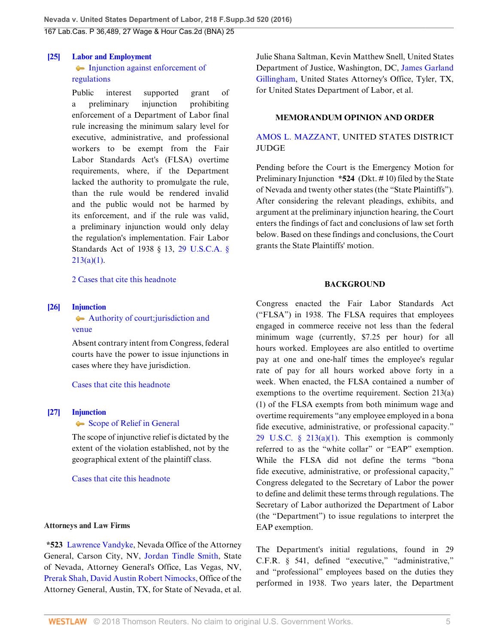#### <span id="page-4-0"></span>**[\[25\]](#page-11-1) [Labor and Employment](http://www.westlaw.com/Browse/Home/KeyNumber/231H/View.html?docGuid=I108f8530b17511e6afc8be5a5c08bae9&originationContext=document&vr=3.0&rs=cblt1.0&transitionType=DocumentItem&contextData=(sc.UserEnteredCitation))**

# [Injunction against enforcement of](http://www.westlaw.com/Browse/Home/KeyNumber/231Hk2423/View.html?docGuid=I108f8530b17511e6afc8be5a5c08bae9&originationContext=document&vr=3.0&rs=cblt1.0&transitionType=DocumentItem&contextData=(sc.UserEnteredCitation)) [regulations](http://www.westlaw.com/Browse/Home/KeyNumber/231Hk2423/View.html?docGuid=I108f8530b17511e6afc8be5a5c08bae9&originationContext=document&vr=3.0&rs=cblt1.0&transitionType=DocumentItem&contextData=(sc.UserEnteredCitation))

Public interest supported grant of a preliminary injunction prohibiting enforcement of a Department of Labor final rule increasing the minimum salary level for executive, administrative, and professional workers to be exempt from the Fair Labor Standards Act's (FLSA) overtime requirements, where, if the Department lacked the authority to promulgate the rule, than the rule would be rendered invalid and the public would not be harmed by its enforcement, and if the rule was valid, a preliminary injunction would only delay the regulation's implementation. Fair Labor Standards Act of 1938 § 13, [29 U.S.C.A. §](http://www.westlaw.com/Link/Document/FullText?findType=L&pubNum=1000546&cite=29USCAS213&originatingDoc=I108f8530b17511e6afc8be5a5c08bae9&refType=SP&originationContext=document&vr=3.0&rs=cblt1.0&transitionType=DocumentItem&contextData=(sc.UserEnteredCitation)#co_pp_7b9b000044381)  $213(a)(1)$ .

[2 Cases that cite this headnote](http://www.westlaw.com/Link/RelatedInformation/DocHeadnoteLink?docGuid=I108f8530b17511e6afc8be5a5c08bae9&headnoteId=204035786802520180517170102&originationContext=document&vr=3.0&rs=cblt1.0&transitionType=CitingReferences&contextData=(sc.UserEnteredCitation))

# <span id="page-4-1"></span>**[\[26\]](#page-11-2) [Injunction](http://www.westlaw.com/Browse/Home/KeyNumber/212/View.html?docGuid=I108f8530b17511e6afc8be5a5c08bae9&originationContext=document&vr=3.0&rs=cblt1.0&transitionType=DocumentItem&contextData=(sc.UserEnteredCitation))**

# [Authority of court; jurisdiction and](http://www.westlaw.com/Browse/Home/KeyNumber/212k1504/View.html?docGuid=I108f8530b17511e6afc8be5a5c08bae9&originationContext=document&vr=3.0&rs=cblt1.0&transitionType=DocumentItem&contextData=(sc.UserEnteredCitation)) [venue](http://www.westlaw.com/Browse/Home/KeyNumber/212k1504/View.html?docGuid=I108f8530b17511e6afc8be5a5c08bae9&originationContext=document&vr=3.0&rs=cblt1.0&transitionType=DocumentItem&contextData=(sc.UserEnteredCitation))

Absent contrary intent from Congress, federal courts have the power to issue injunctions in cases where they have jurisdiction.

## [Cases that cite this headnote](http://www.westlaw.com/Link/RelatedInformation/DocHeadnoteLink?docGuid=I108f8530b17511e6afc8be5a5c08bae9&headnoteId=204035786802620180517170102&originationContext=document&vr=3.0&rs=cblt1.0&transitionType=CitingReferences&contextData=(sc.UserEnteredCitation))

# <span id="page-4-2"></span>**[\[27\]](#page-11-3) [Injunction](http://www.westlaw.com/Browse/Home/KeyNumber/212/View.html?docGuid=I108f8530b17511e6afc8be5a5c08bae9&originationContext=document&vr=3.0&rs=cblt1.0&transitionType=DocumentItem&contextData=(sc.UserEnteredCitation))**

## [Scope of Relief in General](http://www.westlaw.com/Browse/Home/KeyNumber/212k1013/View.html?docGuid=I108f8530b17511e6afc8be5a5c08bae9&originationContext=document&vr=3.0&rs=cblt1.0&transitionType=DocumentItem&contextData=(sc.UserEnteredCitation))

The scope of injunctive relief is dictated by the extent of the violation established, not by the geographical extent of the plaintiff class.

## [Cases that cite this headnote](http://www.westlaw.com/Link/RelatedInformation/DocHeadnoteLink?docGuid=I108f8530b17511e6afc8be5a5c08bae9&headnoteId=204035786802720180517170102&originationContext=document&vr=3.0&rs=cblt1.0&transitionType=CitingReferences&contextData=(sc.UserEnteredCitation))

## **Attorneys and Law Firms**

**\*523** [Lawrence Vandyke,](http://www.westlaw.com/Link/Document/FullText?findType=h&pubNum=176284&cite=0365830101&originatingDoc=I108f8530b17511e6afc8be5a5c08bae9&refType=RQ&originationContext=document&vr=3.0&rs=cblt1.0&transitionType=DocumentItem&contextData=(sc.UserEnteredCitation)) Nevada Office of the Attorney General, Carson City, NV, [Jordan Tindle Smith,](http://www.westlaw.com/Link/Document/FullText?findType=h&pubNum=176284&cite=0442091601&originatingDoc=I108f8530b17511e6afc8be5a5c08bae9&refType=RQ&originationContext=document&vr=3.0&rs=cblt1.0&transitionType=DocumentItem&contextData=(sc.UserEnteredCitation)) State of Nevada, Attorney General's Office, Las Vegas, NV, [Prerak Shah](http://www.westlaw.com/Link/Document/FullText?findType=h&pubNum=176284&cite=0452458501&originatingDoc=I108f8530b17511e6afc8be5a5c08bae9&refType=RQ&originationContext=document&vr=3.0&rs=cblt1.0&transitionType=DocumentItem&contextData=(sc.UserEnteredCitation)), [David Austin Robert Nimocks,](http://www.westlaw.com/Link/Document/FullText?findType=h&pubNum=176284&cite=0326225601&originatingDoc=I108f8530b17511e6afc8be5a5c08bae9&refType=RQ&originationContext=document&vr=3.0&rs=cblt1.0&transitionType=DocumentItem&contextData=(sc.UserEnteredCitation)) Office of the Attorney General, Austin, TX, for State of Nevada, et al.

Julie Shana Saltman, Kevin Matthew Snell, United States Department of Justice, Washington, DC, [James Garland](http://www.westlaw.com/Link/Document/FullText?findType=h&pubNum=176284&cite=0417111201&originatingDoc=I108f8530b17511e6afc8be5a5c08bae9&refType=RQ&originationContext=document&vr=3.0&rs=cblt1.0&transitionType=DocumentItem&contextData=(sc.UserEnteredCitation)) [Gillingham](http://www.westlaw.com/Link/Document/FullText?findType=h&pubNum=176284&cite=0417111201&originatingDoc=I108f8530b17511e6afc8be5a5c08bae9&refType=RQ&originationContext=document&vr=3.0&rs=cblt1.0&transitionType=DocumentItem&contextData=(sc.UserEnteredCitation)), United States Attorney's Office, Tyler, TX, for United States Department of Labor, et al.

### **MEMORANDUM OPINION AND ORDER**

# [AMOS L. MAZZANT](http://www.westlaw.com/Link/Document/FullText?findType=h&pubNum=176284&cite=0350890701&originatingDoc=I108f8530b17511e6afc8be5a5c08bae9&refType=RQ&originationContext=document&vr=3.0&rs=cblt1.0&transitionType=DocumentItem&contextData=(sc.UserEnteredCitation)), UNITED STATES DISTRICT **JUDGE**

Pending before the Court is the Emergency Motion for Preliminary Injunction **\*524** (Dkt. # 10) filed by the State of Nevada and twenty other states (the "State Plaintiffs"). After considering the relevant pleadings, exhibits, and argument at the preliminary injunction hearing, the Court enters the findings of fact and conclusions of law set forth below. Based on these findings and conclusions, the Court grants the State Plaintiffs' motion.

## **BACKGROUND**

Congress enacted the Fair Labor Standards Act ("FLSA") in 1938. The FLSA requires that employees engaged in commerce receive not less than the federal minimum wage (currently, \$7.25 per hour) for all hours worked. Employees are also entitled to overtime pay at one and one-half times the employee's regular rate of pay for all hours worked above forty in a week. When enacted, the FLSA contained a number of exemptions to the overtime requirement. Section 213(a) (1) of the FLSA exempts from both minimum wage and overtime requirements "any employee employed in a bona fide executive, administrative, or professional capacity." 29 U.S.C.  $\S$  213(a)(1). This exemption is commonly referred to as the "white collar" or "EAP" exemption. While the FLSA did not define the terms "bona fide executive, administrative, or professional capacity," Congress delegated to the Secretary of Labor the power to define and delimit these terms through regulations. The Secretary of Labor authorized the Department of Labor (the "Department") to issue regulations to interpret the EAP exemption.

The Department's initial regulations, found in 29 C.F.R. § 541, defined "executive," "administrative," and "professional" employees based on the duties they performed in 1938. Two years later, the Department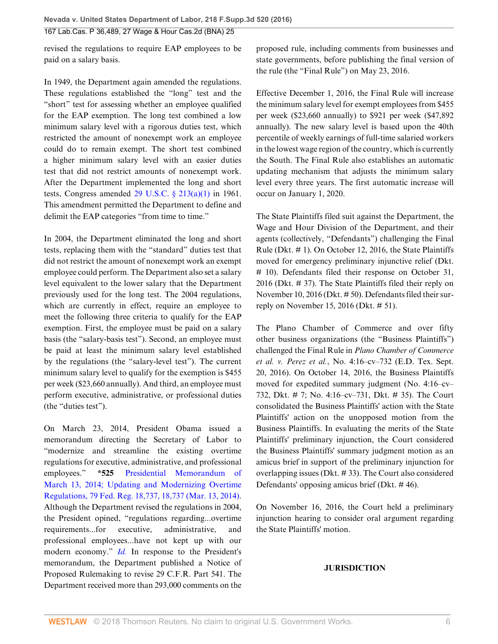revised the regulations to require EAP employees to be paid on a salary basis.

In 1949, the Department again amended the regulations. These regulations established the "long" test and the "short" test for assessing whether an employee qualified for the EAP exemption. The long test combined a low minimum salary level with a rigorous duties test, which restricted the amount of nonexempt work an employee could do to remain exempt. The short test combined a higher minimum salary level with an easier duties test that did not restrict amounts of nonexempt work. After the Department implemented the long and short tests, Congress amended  $29 \text{ U.S.C. }$  §  $213(a)(1)$  in 1961. This amendment permitted the Department to define and delimit the EAP categories "from time to time."

In 2004, the Department eliminated the long and short tests, replacing them with the "standard" duties test that did not restrict the amount of nonexempt work an exempt employee could perform. The Department also set a salary level equivalent to the lower salary that the Department previously used for the long test. The 2004 regulations, which are currently in effect, require an employee to meet the following three criteria to qualify for the EAP exemption. First, the employee must be paid on a salary basis (the "salary-basis test"). Second, an employee must be paid at least the minimum salary level established by the regulations (the "salary-level test"). The current minimum salary level to qualify for the exemption is \$455 per week (\$23,660 annually). And third, an employee must perform executive, administrative, or professional duties (the "duties test").

On March 23, 2014, President Obama issued a memorandum directing the Secretary of Labor to "modernize and streamline the existing overtime regulations for executive, administrative, and professional employees." **\*525** [Presidential Memorandum of](http://www.westlaw.com/Link/Document/FullText?findType=l&pubNum=0001037&cite=UUID(I3F4A2490BAFE11E3A343F88A0D45685A)&originatingDoc=I108f8530b17511e6afc8be5a5c08bae9&refType=CP&fi=co_pp_sp_1037_18737&originationContext=document&vr=3.0&rs=cblt1.0&transitionType=DocumentItem&contextData=(sc.UserEnteredCitation)#co_pp_sp_1037_18737) [March 13, 2014; Updating and Modernizing Overtime](http://www.westlaw.com/Link/Document/FullText?findType=l&pubNum=0001037&cite=UUID(I3F4A2490BAFE11E3A343F88A0D45685A)&originatingDoc=I108f8530b17511e6afc8be5a5c08bae9&refType=CP&fi=co_pp_sp_1037_18737&originationContext=document&vr=3.0&rs=cblt1.0&transitionType=DocumentItem&contextData=(sc.UserEnteredCitation)#co_pp_sp_1037_18737) [Regulations, 79 Fed. Reg. 18,737, 18,737 \(Mar. 13, 2014\)](http://www.westlaw.com/Link/Document/FullText?findType=l&pubNum=0001037&cite=UUID(I3F4A2490BAFE11E3A343F88A0D45685A)&originatingDoc=I108f8530b17511e6afc8be5a5c08bae9&refType=CP&fi=co_pp_sp_1037_18737&originationContext=document&vr=3.0&rs=cblt1.0&transitionType=DocumentItem&contextData=(sc.UserEnteredCitation)#co_pp_sp_1037_18737). Although the Department revised the regulations in 2004, the President opined, "regulations regarding...overtime requirements...for executive, administrative, and professional employees...have not kept up with our modern economy." *[Id.](http://www.westlaw.com/Link/Document/FullText?findType=l&pubNum=0001037&cite=UUID(I3F4A2490BAFE11E3A343F88A0D45685A)&originatingDoc=I108f8530b17511e6afc8be5a5c08bae9&refType=CP&fi=co_pp_sp_1037_18737&originationContext=document&vr=3.0&rs=cblt1.0&transitionType=DocumentItem&contextData=(sc.UserEnteredCitation)#co_pp_sp_1037_18737)* In response to the President's memorandum, the Department published a Notice of Proposed Rulemaking to revise 29 C.F.R. Part 541. The Department received more than 293,000 comments on the

proposed rule, including comments from businesses and state governments, before publishing the final version of the rule (the "Final Rule") on May 23, 2016.

Effective December 1, 2016, the Final Rule will increase the minimum salary level for exempt employees from \$455 per week (\$23,660 annually) to \$921 per week (\$47,892 annually). The new salary level is based upon the 40th percentile of weekly earnings of full-time salaried workers in the lowest wage region of the country, which is currently the South. The Final Rule also establishes an automatic updating mechanism that adjusts the minimum salary level every three years. The first automatic increase will occur on January 1, 2020.

The State Plaintiffs filed suit against the Department, the Wage and Hour Division of the Department, and their agents (collectively, "Defendants") challenging the Final Rule (Dkt. # 1). On October 12, 2016, the State Plaintiffs moved for emergency preliminary injunctive relief (Dkt. # 10). Defendants filed their response on October 31, 2016 (Dkt. # 37). The State Plaintiffs filed their reply on November 10, 2016 (Dkt. # 50). Defendants filed their surreply on November 15, 2016 (Dkt. # 51).

The Plano Chamber of Commerce and over fifty other business organizations (the "Business Plaintiffs") challenged the Final Rule in *Plano Chamber of Commerce et al. v. Perez et al.*, No. 4:16–cv–732 (E.D. Tex. Sept. 20, 2016). On October 14, 2016, the Business Plaintiffs moved for expedited summary judgment (No. 4:16–cv– 732, Dkt. # 7; No. 4:16–cv–731, Dkt. # 35). The Court consolidated the Business Plaintiffs' action with the State Plaintiffs' action on the unopposed motion from the Business Plaintiffs. In evaluating the merits of the State Plaintiffs' preliminary injunction, the Court considered the Business Plaintiffs' summary judgment motion as an amicus brief in support of the preliminary injunction for overlapping issues (Dkt. # 33). The Court also considered Defendants' opposing amicus brief (Dkt. # 46).

On November 16, 2016, the Court held a preliminary injunction hearing to consider oral argument regarding the State Plaintiffs' motion.

# **JURISDICTION**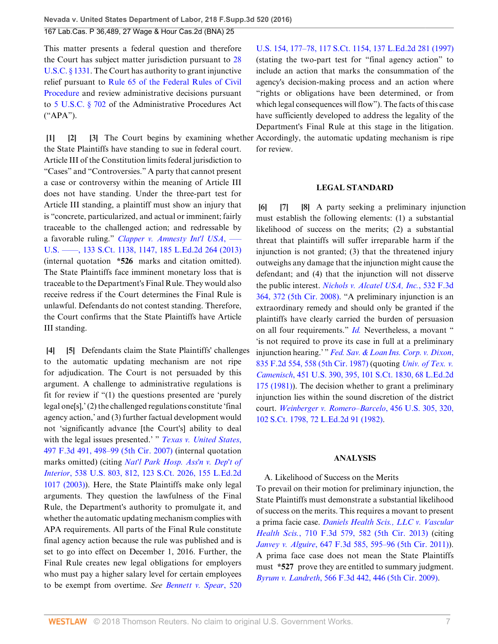This matter presents a federal question and therefore the Court has subject matter jurisdiction pursuant to [28](http://www.westlaw.com/Link/Document/FullText?findType=L&pubNum=1000546&cite=28USCAS1331&originatingDoc=I108f8530b17511e6afc8be5a5c08bae9&refType=LQ&originationContext=document&vr=3.0&rs=cblt1.0&transitionType=DocumentItem&contextData=(sc.UserEnteredCitation)) [U.S.C. § 1331.](http://www.westlaw.com/Link/Document/FullText?findType=L&pubNum=1000546&cite=28USCAS1331&originatingDoc=I108f8530b17511e6afc8be5a5c08bae9&refType=LQ&originationContext=document&vr=3.0&rs=cblt1.0&transitionType=DocumentItem&contextData=(sc.UserEnteredCitation)) The Court has authority to grant injunctive relief pursuant to [Rule 65 of the Federal Rules of Civil](http://www.westlaw.com/Link/Document/FullText?findType=L&pubNum=1000600&cite=USFRCPR65&originatingDoc=I108f8530b17511e6afc8be5a5c08bae9&refType=LQ&originationContext=document&vr=3.0&rs=cblt1.0&transitionType=DocumentItem&contextData=(sc.UserEnteredCitation)) [Procedure](http://www.westlaw.com/Link/Document/FullText?findType=L&pubNum=1000600&cite=USFRCPR65&originatingDoc=I108f8530b17511e6afc8be5a5c08bae9&refType=LQ&originationContext=document&vr=3.0&rs=cblt1.0&transitionType=DocumentItem&contextData=(sc.UserEnteredCitation)) and review administrative decisions pursuant to [5 U.S.C. § 702](http://www.westlaw.com/Link/Document/FullText?findType=L&pubNum=1000546&cite=5USCAS702&originatingDoc=I108f8530b17511e6afc8be5a5c08bae9&refType=LQ&originationContext=document&vr=3.0&rs=cblt1.0&transitionType=DocumentItem&contextData=(sc.UserEnteredCitation)) of the Administrative Procedures Act ("APA").

<span id="page-6-2"></span><span id="page-6-1"></span><span id="page-6-0"></span>**[\[1](#page-0-0)] [\[2](#page-0-1)] [\[3\]](#page-0-2)** The Court begins by examining whether Accordingly, the automatic updating mechanism is ripe the State Plaintiffs have standing to sue in federal court. Article III of the Constitution limits federal jurisdiction to "Cases" and "Controversies." A party that cannot present a case or controversy within the meaning of Article III does not have standing. Under the three-part test for Article III standing, a plaintiff must show an injury that is "concrete, particularized, and actual or imminent; fairly traceable to the challenged action; and redressable by a favorable ruling." *[Clapper v. Amnesty Int'l USA](http://www.westlaw.com/Link/Document/FullText?findType=Y&serNum=2029935439&pubNum=0000708&originatingDoc=I108f8530b17511e6afc8be5a5c08bae9&refType=RP&fi=co_pp_sp_708_1147&originationContext=document&vr=3.0&rs=cblt1.0&transitionType=DocumentItem&contextData=(sc.UserEnteredCitation)#co_pp_sp_708_1147)*, ––– [U.S. ––––, 133 S.Ct. 1138, 1147, 185 L.Ed.2d 264 \(2013\)](http://www.westlaw.com/Link/Document/FullText?findType=Y&serNum=2029935439&pubNum=0000708&originatingDoc=I108f8530b17511e6afc8be5a5c08bae9&refType=RP&fi=co_pp_sp_708_1147&originationContext=document&vr=3.0&rs=cblt1.0&transitionType=DocumentItem&contextData=(sc.UserEnteredCitation)#co_pp_sp_708_1147) (internal quotation **\*526** marks and citation omitted). The State Plaintiffs face imminent monetary loss that is traceable to the Department's Final Rule. They would also receive redress if the Court determines the Final Rule is unlawful. Defendants do not contest standing. Therefore, the Court confirms that the State Plaintiffs have Article III standing.

<span id="page-6-4"></span><span id="page-6-3"></span>**[\[4](#page-1-0)] [\[5](#page-1-1)]** Defendants claim the State Plaintiffs' challenges to the automatic updating mechanism are not ripe for adjudication. The Court is not persuaded by this argument. A challenge to administrative regulations is fit for review if "(1) the questions presented are 'purely legal one[s],' (2) the challenged regulations constitute 'final agency action,' and (3) further factual development would not 'significantly advance [the Court's] ability to deal with the legal issues presented.' " *[Texas v. United States](http://www.westlaw.com/Link/Document/FullText?findType=Y&serNum=2012937988&pubNum=0000506&originatingDoc=I108f8530b17511e6afc8be5a5c08bae9&refType=RP&fi=co_pp_sp_506_498&originationContext=document&vr=3.0&rs=cblt1.0&transitionType=DocumentItem&contextData=(sc.UserEnteredCitation)#co_pp_sp_506_498)*, [497 F.3d 491, 498–99 \(5th Cir. 2007\)](http://www.westlaw.com/Link/Document/FullText?findType=Y&serNum=2012937988&pubNum=0000506&originatingDoc=I108f8530b17511e6afc8be5a5c08bae9&refType=RP&fi=co_pp_sp_506_498&originationContext=document&vr=3.0&rs=cblt1.0&transitionType=DocumentItem&contextData=(sc.UserEnteredCitation)#co_pp_sp_506_498) (internal quotation marks omitted) (citing *[Nat'l Park Hosp. Ass'n v. Dep't of](http://www.westlaw.com/Link/Document/FullText?findType=Y&serNum=2003378345&pubNum=0000708&originatingDoc=I108f8530b17511e6afc8be5a5c08bae9&refType=RP&originationContext=document&vr=3.0&rs=cblt1.0&transitionType=DocumentItem&contextData=(sc.UserEnteredCitation)) Interior*[, 538 U.S. 803, 812, 123 S.Ct. 2026, 155 L.Ed.2d](http://www.westlaw.com/Link/Document/FullText?findType=Y&serNum=2003378345&pubNum=0000708&originatingDoc=I108f8530b17511e6afc8be5a5c08bae9&refType=RP&originationContext=document&vr=3.0&rs=cblt1.0&transitionType=DocumentItem&contextData=(sc.UserEnteredCitation)) [1017 \(2003\)\)](http://www.westlaw.com/Link/Document/FullText?findType=Y&serNum=2003378345&pubNum=0000708&originatingDoc=I108f8530b17511e6afc8be5a5c08bae9&refType=RP&originationContext=document&vr=3.0&rs=cblt1.0&transitionType=DocumentItem&contextData=(sc.UserEnteredCitation)). Here, the State Plaintiffs make only legal arguments. They question the lawfulness of the Final Rule, the Department's authority to promulgate it, and whether the automatic updating mechanism complies with APA requirements. All parts of the Final Rule constitute final agency action because the rule was published and is set to go into effect on December 1, 2016. Further, the Final Rule creates new legal obligations for employers who must pay a higher salary level for certain employees to be exempt from overtime. *See [Bennett v. Spear](http://www.westlaw.com/Link/Document/FullText?findType=Y&serNum=1997071742&pubNum=0000708&originatingDoc=I108f8530b17511e6afc8be5a5c08bae9&refType=RP&originationContext=document&vr=3.0&rs=cblt1.0&transitionType=DocumentItem&contextData=(sc.UserEnteredCitation))*, 520

[U.S. 154, 177–78, 117 S.Ct. 1154, 137 L.Ed.2d 281 \(1997\)](http://www.westlaw.com/Link/Document/FullText?findType=Y&serNum=1997071742&pubNum=0000708&originatingDoc=I108f8530b17511e6afc8be5a5c08bae9&refType=RP&originationContext=document&vr=3.0&rs=cblt1.0&transitionType=DocumentItem&contextData=(sc.UserEnteredCitation)) (stating the two-part test for "final agency action" to include an action that marks the consummation of the agency's decision-making process and an action where "rights or obligations have been determined, or from which legal consequences will flow"). The facts of this case have sufficiently developed to address the legality of the Department's Final Rule at this stage in the litigation. for review.

#### <span id="page-6-7"></span><span id="page-6-6"></span>**LEGAL STANDARD**

<span id="page-6-5"></span>**[\[6](#page-1-2)] [\[7\]](#page-1-3) [\[8](#page-1-4)]** A party seeking a preliminary injunction must establish the following elements: (1) a substantial likelihood of success on the merits; (2) a substantial threat that plaintiffs will suffer irreparable harm if the injunction is not granted; (3) that the threatened injury outweighs any damage that the injunction might cause the defendant; and (4) that the injunction will not disserve the public interest. *[Nichols v. Alcatel USA, Inc.](http://www.westlaw.com/Link/Document/FullText?findType=Y&serNum=2016354732&pubNum=0000506&originatingDoc=I108f8530b17511e6afc8be5a5c08bae9&refType=RP&fi=co_pp_sp_506_372&originationContext=document&vr=3.0&rs=cblt1.0&transitionType=DocumentItem&contextData=(sc.UserEnteredCitation)#co_pp_sp_506_372)*, 532 F.3d [364, 372 \(5th Cir. 2008\)](http://www.westlaw.com/Link/Document/FullText?findType=Y&serNum=2016354732&pubNum=0000506&originatingDoc=I108f8530b17511e6afc8be5a5c08bae9&refType=RP&fi=co_pp_sp_506_372&originationContext=document&vr=3.0&rs=cblt1.0&transitionType=DocumentItem&contextData=(sc.UserEnteredCitation)#co_pp_sp_506_372). "A preliminary injunction is an extraordinary remedy and should only be granted if the plaintiffs have clearly carried the burden of persuasion on all four requirements." *[Id.](http://www.westlaw.com/Link/Document/FullText?findType=Y&serNum=2016354732&pubNum=0000506&originatingDoc=I108f8530b17511e6afc8be5a5c08bae9&refType=RP&originationContext=document&vr=3.0&rs=cblt1.0&transitionType=DocumentItem&contextData=(sc.UserEnteredCitation))* Nevertheless, a movant " 'is not required to prove its case in full at a preliminary injunction hearing.' " *[Fed. Sav. & Loan Ins. Corp. v. Dixon](http://www.westlaw.com/Link/Document/FullText?findType=Y&serNum=1987159740&pubNum=0000350&originatingDoc=I108f8530b17511e6afc8be5a5c08bae9&refType=RP&fi=co_pp_sp_350_558&originationContext=document&vr=3.0&rs=cblt1.0&transitionType=DocumentItem&contextData=(sc.UserEnteredCitation)#co_pp_sp_350_558)*, [835 F.2d 554, 558 \(5th Cir. 1987\)](http://www.westlaw.com/Link/Document/FullText?findType=Y&serNum=1987159740&pubNum=0000350&originatingDoc=I108f8530b17511e6afc8be5a5c08bae9&refType=RP&fi=co_pp_sp_350_558&originationContext=document&vr=3.0&rs=cblt1.0&transitionType=DocumentItem&contextData=(sc.UserEnteredCitation)#co_pp_sp_350_558) (quoting *[Univ. of Tex. v.](http://www.westlaw.com/Link/Document/FullText?findType=Y&serNum=1981118825&pubNum=0000708&originatingDoc=I108f8530b17511e6afc8be5a5c08bae9&refType=RP&originationContext=document&vr=3.0&rs=cblt1.0&transitionType=DocumentItem&contextData=(sc.UserEnteredCitation)) Camenisch*[, 451 U.S. 390, 395, 101 S.Ct. 1830, 68 L.Ed.2d](http://www.westlaw.com/Link/Document/FullText?findType=Y&serNum=1981118825&pubNum=0000708&originatingDoc=I108f8530b17511e6afc8be5a5c08bae9&refType=RP&originationContext=document&vr=3.0&rs=cblt1.0&transitionType=DocumentItem&contextData=(sc.UserEnteredCitation)) [175 \(1981\)\)](http://www.westlaw.com/Link/Document/FullText?findType=Y&serNum=1981118825&pubNum=0000708&originatingDoc=I108f8530b17511e6afc8be5a5c08bae9&refType=RP&originationContext=document&vr=3.0&rs=cblt1.0&transitionType=DocumentItem&contextData=(sc.UserEnteredCitation)). The decision whether to grant a preliminary injunction lies within the sound discretion of the district court. *[Weinberger v. Romero–Barcelo](http://www.westlaw.com/Link/Document/FullText?findType=Y&serNum=1982119204&pubNum=0000708&originatingDoc=I108f8530b17511e6afc8be5a5c08bae9&refType=RP&originationContext=document&vr=3.0&rs=cblt1.0&transitionType=DocumentItem&contextData=(sc.UserEnteredCitation))*, 456 U.S. 305, 320, [102 S.Ct. 1798, 72 L.Ed.2d 91 \(1982\).](http://www.westlaw.com/Link/Document/FullText?findType=Y&serNum=1982119204&pubNum=0000708&originatingDoc=I108f8530b17511e6afc8be5a5c08bae9&refType=RP&originationContext=document&vr=3.0&rs=cblt1.0&transitionType=DocumentItem&contextData=(sc.UserEnteredCitation))

#### **ANALYSIS**

A. Likelihood of Success on the Merits To prevail on their motion for preliminary injunction, the State Plaintiffs must demonstrate a substantial likelihood of success on the merits. This requires a movant to present a prima facie case. *[Daniels Health Scis., LLC v. Vascular](http://www.westlaw.com/Link/Document/FullText?findType=Y&serNum=2029987485&pubNum=0000506&originatingDoc=I108f8530b17511e6afc8be5a5c08bae9&refType=RP&fi=co_pp_sp_506_582&originationContext=document&vr=3.0&rs=cblt1.0&transitionType=DocumentItem&contextData=(sc.UserEnteredCitation)#co_pp_sp_506_582) Health Scis.*[, 710 F.3d 579, 582 \(5th Cir. 2013\)](http://www.westlaw.com/Link/Document/FullText?findType=Y&serNum=2029987485&pubNum=0000506&originatingDoc=I108f8530b17511e6afc8be5a5c08bae9&refType=RP&fi=co_pp_sp_506_582&originationContext=document&vr=3.0&rs=cblt1.0&transitionType=DocumentItem&contextData=(sc.UserEnteredCitation)#co_pp_sp_506_582) (citing *Janvey v. Alguire*[, 647 F.3d 585, 595–96 \(5th Cir. 2011\)\)](http://www.westlaw.com/Link/Document/FullText?findType=Y&serNum=2025759264&pubNum=0000506&originatingDoc=I108f8530b17511e6afc8be5a5c08bae9&refType=RP&fi=co_pp_sp_506_595&originationContext=document&vr=3.0&rs=cblt1.0&transitionType=DocumentItem&contextData=(sc.UserEnteredCitation)#co_pp_sp_506_595). A prima face case does not mean the State Plaintiffs must **\*527** prove they are entitled to summary judgment. *Byrum v. Landreth*[, 566 F.3d 442, 446 \(5th Cir. 2009\)](http://www.westlaw.com/Link/Document/FullText?findType=Y&serNum=2018654088&pubNum=0000506&originatingDoc=I108f8530b17511e6afc8be5a5c08bae9&refType=RP&fi=co_pp_sp_506_446&originationContext=document&vr=3.0&rs=cblt1.0&transitionType=DocumentItem&contextData=(sc.UserEnteredCitation)#co_pp_sp_506_446).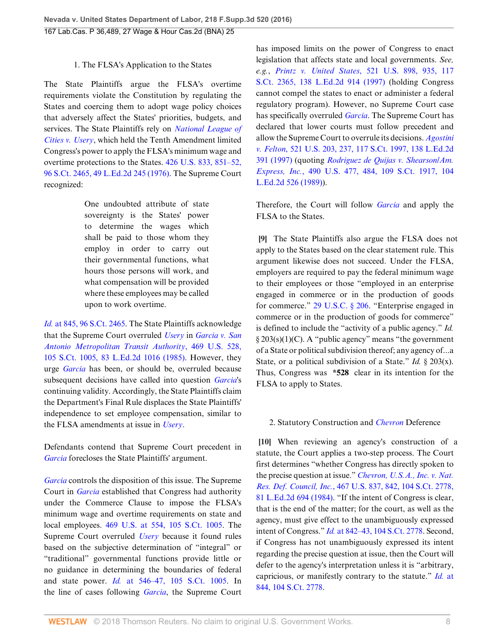# 1. The FLSA's Application to the States

The State Plaintiffs argue the FLSA's overtime requirements violate the Constitution by regulating the States and coercing them to adopt wage policy choices that adversely affect the States' priorities, budgets, and services. The State Plaintiffs rely on *[National League of](http://www.westlaw.com/Link/Document/FullText?findType=Y&serNum=1976142422&pubNum=0000780&originatingDoc=I108f8530b17511e6afc8be5a5c08bae9&refType=RP&originationContext=document&vr=3.0&rs=cblt1.0&transitionType=DocumentItem&contextData=(sc.UserEnteredCitation)) [Cities v. Usery](http://www.westlaw.com/Link/Document/FullText?findType=Y&serNum=1976142422&pubNum=0000780&originatingDoc=I108f8530b17511e6afc8be5a5c08bae9&refType=RP&originationContext=document&vr=3.0&rs=cblt1.0&transitionType=DocumentItem&contextData=(sc.UserEnteredCitation))*, which held the Tenth Amendment limited Congress's power to apply the FLSA's minimum wage and overtime protections to the States. [426 U.S. 833, 851–52,](http://www.westlaw.com/Link/Document/FullText?findType=Y&serNum=1976142422&pubNum=0000708&originatingDoc=I108f8530b17511e6afc8be5a5c08bae9&refType=RP&originationContext=document&vr=3.0&rs=cblt1.0&transitionType=DocumentItem&contextData=(sc.UserEnteredCitation)) [96 S.Ct. 2465, 49 L.Ed.2d 245 \(1976\)](http://www.westlaw.com/Link/Document/FullText?findType=Y&serNum=1976142422&pubNum=0000708&originatingDoc=I108f8530b17511e6afc8be5a5c08bae9&refType=RP&originationContext=document&vr=3.0&rs=cblt1.0&transitionType=DocumentItem&contextData=(sc.UserEnteredCitation)). The Supreme Court recognized:

> One undoubted attribute of state sovereignty is the States' power to determine the wages which shall be paid to those whom they employ in order to carry out their governmental functions, what hours those persons will work, and what compensation will be provided where these employees may be called upon to work overtime.

*Id.* [at 845, 96 S.Ct. 2465.](http://www.westlaw.com/Link/Document/FullText?findType=Y&serNum=1976142422&pubNum=0000708&originatingDoc=I108f8530b17511e6afc8be5a5c08bae9&refType=RP&originationContext=document&vr=3.0&rs=cblt1.0&transitionType=DocumentItem&contextData=(sc.UserEnteredCitation)) The State Plaintiffs acknowledge that the Supreme Court overruled *[Usery](http://www.westlaw.com/Link/Document/FullText?findType=Y&serNum=1976142422&pubNum=0000780&originatingDoc=I108f8530b17511e6afc8be5a5c08bae9&refType=RP&originationContext=document&vr=3.0&rs=cblt1.0&transitionType=DocumentItem&contextData=(sc.UserEnteredCitation))* in *[Garcia v. San](http://www.westlaw.com/Link/Document/FullText?findType=Y&serNum=1985108657&pubNum=0000708&originatingDoc=I108f8530b17511e6afc8be5a5c08bae9&refType=RP&originationContext=document&vr=3.0&rs=cblt1.0&transitionType=DocumentItem&contextData=(sc.UserEnteredCitation)) [Antonio Metropolitan Transit Authority](http://www.westlaw.com/Link/Document/FullText?findType=Y&serNum=1985108657&pubNum=0000708&originatingDoc=I108f8530b17511e6afc8be5a5c08bae9&refType=RP&originationContext=document&vr=3.0&rs=cblt1.0&transitionType=DocumentItem&contextData=(sc.UserEnteredCitation))*, 469 U.S. 528, [105 S.Ct. 1005, 83 L.Ed.2d 1016 \(1985\)](http://www.westlaw.com/Link/Document/FullText?findType=Y&serNum=1985108657&pubNum=0000708&originatingDoc=I108f8530b17511e6afc8be5a5c08bae9&refType=RP&originationContext=document&vr=3.0&rs=cblt1.0&transitionType=DocumentItem&contextData=(sc.UserEnteredCitation)). However, they urge *[Garcia](http://www.westlaw.com/Link/Document/FullText?findType=Y&serNum=1985108657&pubNum=0000780&originatingDoc=I108f8530b17511e6afc8be5a5c08bae9&refType=RP&originationContext=document&vr=3.0&rs=cblt1.0&transitionType=DocumentItem&contextData=(sc.UserEnteredCitation))* has been, or should be, overruled because subsequent decisions have called into question *[Garcia](http://www.westlaw.com/Link/Document/FullText?findType=Y&serNum=1985108657&pubNum=0000780&originatingDoc=I108f8530b17511e6afc8be5a5c08bae9&refType=RP&originationContext=document&vr=3.0&rs=cblt1.0&transitionType=DocumentItem&contextData=(sc.UserEnteredCitation))*'s continuing validity. Accordingly, the State Plaintiffs claim the Department's Final Rule displaces the State Plaintiffs' independence to set employee compensation, similar to the FLSA amendments at issue in *[Usery](http://www.westlaw.com/Link/Document/FullText?findType=Y&serNum=1976142422&pubNum=0000780&originatingDoc=I108f8530b17511e6afc8be5a5c08bae9&refType=RP&originationContext=document&vr=3.0&rs=cblt1.0&transitionType=DocumentItem&contextData=(sc.UserEnteredCitation))*.

Defendants contend that Supreme Court precedent in *[Garcia](http://www.westlaw.com/Link/Document/FullText?findType=Y&serNum=1985108657&pubNum=0000780&originatingDoc=I108f8530b17511e6afc8be5a5c08bae9&refType=RP&originationContext=document&vr=3.0&rs=cblt1.0&transitionType=DocumentItem&contextData=(sc.UserEnteredCitation))* forecloses the State Plaintiffs' argument.

*[Garcia](http://www.westlaw.com/Link/Document/FullText?findType=Y&serNum=1985108657&pubNum=0000780&originatingDoc=I108f8530b17511e6afc8be5a5c08bae9&refType=RP&originationContext=document&vr=3.0&rs=cblt1.0&transitionType=DocumentItem&contextData=(sc.UserEnteredCitation))* controls the disposition of this issue. The Supreme Court in *[Garcia](http://www.westlaw.com/Link/Document/FullText?findType=Y&serNum=1985108657&pubNum=0000780&originatingDoc=I108f8530b17511e6afc8be5a5c08bae9&refType=RP&originationContext=document&vr=3.0&rs=cblt1.0&transitionType=DocumentItem&contextData=(sc.UserEnteredCitation))* established that Congress had authority under the Commerce Clause to impose the FLSA's minimum wage and overtime requirements on state and local employees. [469 U.S. at 554, 105 S.Ct. 1005](http://www.westlaw.com/Link/Document/FullText?findType=Y&serNum=1985108657&pubNum=0000708&originatingDoc=I108f8530b17511e6afc8be5a5c08bae9&refType=RP&originationContext=document&vr=3.0&rs=cblt1.0&transitionType=DocumentItem&contextData=(sc.UserEnteredCitation)). The Supreme Court overruled *[Usery](http://www.westlaw.com/Link/Document/FullText?findType=Y&serNum=1976142422&pubNum=0000780&originatingDoc=I108f8530b17511e6afc8be5a5c08bae9&refType=RP&originationContext=document&vr=3.0&rs=cblt1.0&transitionType=DocumentItem&contextData=(sc.UserEnteredCitation))* because it found rules based on the subjective determination of "integral" or "traditional" governmental functions provide little or no guidance in determining the boundaries of federal and state power. *Id.* [at 546–47, 105 S.Ct. 1005.](http://www.westlaw.com/Link/Document/FullText?findType=Y&serNum=1985108657&pubNum=0000708&originatingDoc=I108f8530b17511e6afc8be5a5c08bae9&refType=RP&originationContext=document&vr=3.0&rs=cblt1.0&transitionType=DocumentItem&contextData=(sc.UserEnteredCitation)) In the line of cases following *[Garcia](http://www.westlaw.com/Link/Document/FullText?findType=Y&serNum=1985108657&pubNum=0000780&originatingDoc=I108f8530b17511e6afc8be5a5c08bae9&refType=RP&originationContext=document&vr=3.0&rs=cblt1.0&transitionType=DocumentItem&contextData=(sc.UserEnteredCitation))*, the Supreme Court

has imposed limits on the power of Congress to enact legislation that affects state and local governments. *See, e.g.*, *Printz v. United States*[, 521 U.S. 898, 935, 117](http://www.westlaw.com/Link/Document/FullText?findType=Y&serNum=1997135848&pubNum=0000708&originatingDoc=I108f8530b17511e6afc8be5a5c08bae9&refType=RP&originationContext=document&vr=3.0&rs=cblt1.0&transitionType=DocumentItem&contextData=(sc.UserEnteredCitation)) [S.Ct. 2365, 138 L.Ed.2d 914 \(1997\)](http://www.westlaw.com/Link/Document/FullText?findType=Y&serNum=1997135848&pubNum=0000708&originatingDoc=I108f8530b17511e6afc8be5a5c08bae9&refType=RP&originationContext=document&vr=3.0&rs=cblt1.0&transitionType=DocumentItem&contextData=(sc.UserEnteredCitation)) (holding Congress cannot compel the states to enact or administer a federal regulatory program). However, no Supreme Court case has specifically overruled *[Garcia](http://www.westlaw.com/Link/Document/FullText?findType=Y&serNum=1985108657&pubNum=0000780&originatingDoc=I108f8530b17511e6afc8be5a5c08bae9&refType=RP&originationContext=document&vr=3.0&rs=cblt1.0&transitionType=DocumentItem&contextData=(sc.UserEnteredCitation))*. The Supreme Court has declared that lower courts must follow precedent and allow the Supreme Court to overrule its decisions. *[Agostini](http://www.westlaw.com/Link/Document/FullText?findType=Y&serNum=1997131755&pubNum=0000708&originatingDoc=I108f8530b17511e6afc8be5a5c08bae9&refType=RP&originationContext=document&vr=3.0&rs=cblt1.0&transitionType=DocumentItem&contextData=(sc.UserEnteredCitation)) v. Felton*[, 521 U.S. 203, 237, 117 S.Ct. 1997, 138 L.Ed.2d](http://www.westlaw.com/Link/Document/FullText?findType=Y&serNum=1997131755&pubNum=0000708&originatingDoc=I108f8530b17511e6afc8be5a5c08bae9&refType=RP&originationContext=document&vr=3.0&rs=cblt1.0&transitionType=DocumentItem&contextData=(sc.UserEnteredCitation)) [391 \(1997\)](http://www.westlaw.com/Link/Document/FullText?findType=Y&serNum=1997131755&pubNum=0000708&originatingDoc=I108f8530b17511e6afc8be5a5c08bae9&refType=RP&originationContext=document&vr=3.0&rs=cblt1.0&transitionType=DocumentItem&contextData=(sc.UserEnteredCitation)) (quoting *[Rodriguez de Quijas v. Shearson/Am.](http://www.westlaw.com/Link/Document/FullText?findType=Y&serNum=1989072203&pubNum=0000708&originatingDoc=I108f8530b17511e6afc8be5a5c08bae9&refType=RP&fi=co_pp_sp_708_484&originationContext=document&vr=3.0&rs=cblt1.0&transitionType=DocumentItem&contextData=(sc.UserEnteredCitation)#co_pp_sp_708_484) Express, Inc.*[, 490 U.S. 477, 484, 109 S.Ct. 1917, 104](http://www.westlaw.com/Link/Document/FullText?findType=Y&serNum=1989072203&pubNum=0000708&originatingDoc=I108f8530b17511e6afc8be5a5c08bae9&refType=RP&fi=co_pp_sp_708_484&originationContext=document&vr=3.0&rs=cblt1.0&transitionType=DocumentItem&contextData=(sc.UserEnteredCitation)#co_pp_sp_708_484) [L.Ed.2d 526 \(1989\)](http://www.westlaw.com/Link/Document/FullText?findType=Y&serNum=1989072203&pubNum=0000708&originatingDoc=I108f8530b17511e6afc8be5a5c08bae9&refType=RP&fi=co_pp_sp_708_484&originationContext=document&vr=3.0&rs=cblt1.0&transitionType=DocumentItem&contextData=(sc.UserEnteredCitation)#co_pp_sp_708_484)).

Therefore, the Court will follow *[Garcia](http://www.westlaw.com/Link/Document/FullText?findType=Y&serNum=1985108657&pubNum=0000780&originatingDoc=I108f8530b17511e6afc8be5a5c08bae9&refType=RP&originationContext=document&vr=3.0&rs=cblt1.0&transitionType=DocumentItem&contextData=(sc.UserEnteredCitation))* and apply the FLSA to the States.

<span id="page-7-0"></span>**[\[9](#page-1-5)]** The State Plaintiffs also argue the FLSA does not apply to the States based on the clear statement rule. This argument likewise does not succeed. Under the FLSA, employers are required to pay the federal minimum wage to their employees or those "employed in an enterprise engaged in commerce or in the production of goods for commerce." [29 U.S.C. § 206](http://www.westlaw.com/Link/Document/FullText?findType=L&pubNum=1000546&cite=29USCAS206&originatingDoc=I108f8530b17511e6afc8be5a5c08bae9&refType=LQ&originationContext=document&vr=3.0&rs=cblt1.0&transitionType=DocumentItem&contextData=(sc.UserEnteredCitation)). "Enterprise engaged in commerce or in the production of goods for commerce" is defined to include the "activity of a public agency." *Id.* § 203(s)(1)(C). A "public agency" means "the government of a State or political subdivision thereof; any agency of...a State, or a political subdivision of a State." *Id.* § 203(x). Thus, Congress was **\*528** clear in its intention for the FLSA to apply to States.

## <span id="page-7-1"></span>2. Statutory Construction and *[Chevron](http://www.westlaw.com/Link/Document/FullText?findType=Y&serNum=1984130736&pubNum=0000780&originatingDoc=I108f8530b17511e6afc8be5a5c08bae9&refType=RP&originationContext=document&vr=3.0&rs=cblt1.0&transitionType=DocumentItem&contextData=(sc.UserEnteredCitation))* Deference

**[\[10](#page-1-6)]** When reviewing an agency's construction of a statute, the Court applies a two-step process. The Court first determines "whether Congress has directly spoken to the precise question at issue." *[Chevron, U.S.A., Inc. v. Nat.](http://www.westlaw.com/Link/Document/FullText?findType=Y&serNum=1984130736&pubNum=0000708&originatingDoc=I108f8530b17511e6afc8be5a5c08bae9&refType=RP&originationContext=document&vr=3.0&rs=cblt1.0&transitionType=DocumentItem&contextData=(sc.UserEnteredCitation)) Res. Def. Council, Inc.*[, 467 U.S. 837, 842, 104 S.Ct. 2778,](http://www.westlaw.com/Link/Document/FullText?findType=Y&serNum=1984130736&pubNum=0000708&originatingDoc=I108f8530b17511e6afc8be5a5c08bae9&refType=RP&originationContext=document&vr=3.0&rs=cblt1.0&transitionType=DocumentItem&contextData=(sc.UserEnteredCitation)) [81 L.Ed.2d 694 \(1984\)](http://www.westlaw.com/Link/Document/FullText?findType=Y&serNum=1984130736&pubNum=0000708&originatingDoc=I108f8530b17511e6afc8be5a5c08bae9&refType=RP&originationContext=document&vr=3.0&rs=cblt1.0&transitionType=DocumentItem&contextData=(sc.UserEnteredCitation)). "If the intent of Congress is clear, that is the end of the matter; for the court, as well as the agency, must give effect to the unambiguously expressed intent of Congress." *Id.* [at 842–43, 104 S.Ct. 2778.](http://www.westlaw.com/Link/Document/FullText?findType=Y&serNum=1984130736&pubNum=0000708&originatingDoc=I108f8530b17511e6afc8be5a5c08bae9&refType=RP&originationContext=document&vr=3.0&rs=cblt1.0&transitionType=DocumentItem&contextData=(sc.UserEnteredCitation)) Second, if Congress has not unambiguously expressed its intent regarding the precise question at issue, then the Court will defer to the agency's interpretation unless it is "arbitrary, capricious, or manifestly contrary to the statute." *Id.* [at](http://www.westlaw.com/Link/Document/FullText?findType=Y&serNum=1984130736&pubNum=0000708&originatingDoc=I108f8530b17511e6afc8be5a5c08bae9&refType=RP&originationContext=document&vr=3.0&rs=cblt1.0&transitionType=DocumentItem&contextData=(sc.UserEnteredCitation)) [844, 104 S.Ct. 2778.](http://www.westlaw.com/Link/Document/FullText?findType=Y&serNum=1984130736&pubNum=0000708&originatingDoc=I108f8530b17511e6afc8be5a5c08bae9&refType=RP&originationContext=document&vr=3.0&rs=cblt1.0&transitionType=DocumentItem&contextData=(sc.UserEnteredCitation))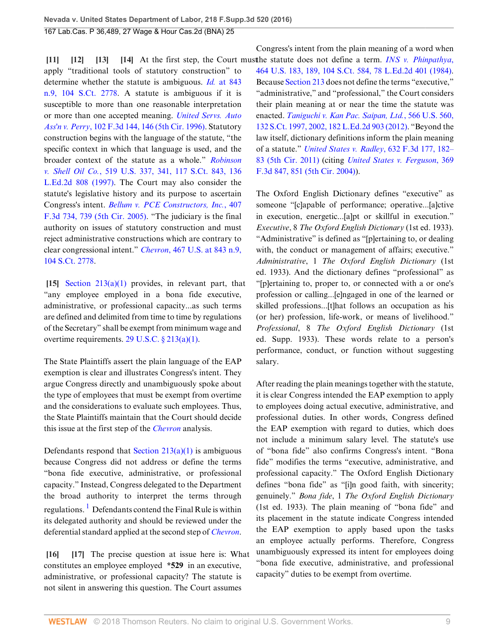apply "traditional tools of statutory construction" to determine whether the statute is ambiguous. *Id.* [at 843](http://www.westlaw.com/Link/Document/FullText?findType=Y&serNum=1984130736&pubNum=0000708&originatingDoc=I108f8530b17511e6afc8be5a5c08bae9&refType=RP&originationContext=document&vr=3.0&rs=cblt1.0&transitionType=DocumentItem&contextData=(sc.UserEnteredCitation)) [n.9, 104 S.Ct. 2778](http://www.westlaw.com/Link/Document/FullText?findType=Y&serNum=1984130736&pubNum=0000708&originatingDoc=I108f8530b17511e6afc8be5a5c08bae9&refType=RP&originationContext=document&vr=3.0&rs=cblt1.0&transitionType=DocumentItem&contextData=(sc.UserEnteredCitation)). A statute is ambiguous if it is susceptible to more than one reasonable interpretation or more than one accepted meaning. *[United Servs. Auto](http://www.westlaw.com/Link/Document/FullText?findType=Y&serNum=1996274269&pubNum=0000506&originatingDoc=I108f8530b17511e6afc8be5a5c08bae9&refType=RP&fi=co_pp_sp_506_146&originationContext=document&vr=3.0&rs=cblt1.0&transitionType=DocumentItem&contextData=(sc.UserEnteredCitation)#co_pp_sp_506_146) Ass'n v. Perry*[, 102 F.3d 144, 146 \(5th Cir. 1996\).](http://www.westlaw.com/Link/Document/FullText?findType=Y&serNum=1996274269&pubNum=0000506&originatingDoc=I108f8530b17511e6afc8be5a5c08bae9&refType=RP&fi=co_pp_sp_506_146&originationContext=document&vr=3.0&rs=cblt1.0&transitionType=DocumentItem&contextData=(sc.UserEnteredCitation)#co_pp_sp_506_146) Statutory construction begins with the language of the statute, "the specific context in which that language is used, and the broader context of the statute as a whole." *[Robinson](http://www.westlaw.com/Link/Document/FullText?findType=Y&serNum=1997052884&pubNum=0000708&originatingDoc=I108f8530b17511e6afc8be5a5c08bae9&refType=RP&originationContext=document&vr=3.0&rs=cblt1.0&transitionType=DocumentItem&contextData=(sc.UserEnteredCitation)) v. Shell Oil Co.*[, 519 U.S. 337, 341, 117 S.Ct. 843, 136](http://www.westlaw.com/Link/Document/FullText?findType=Y&serNum=1997052884&pubNum=0000708&originatingDoc=I108f8530b17511e6afc8be5a5c08bae9&refType=RP&originationContext=document&vr=3.0&rs=cblt1.0&transitionType=DocumentItem&contextData=(sc.UserEnteredCitation)) [L.Ed.2d 808 \(1997\).](http://www.westlaw.com/Link/Document/FullText?findType=Y&serNum=1997052884&pubNum=0000708&originatingDoc=I108f8530b17511e6afc8be5a5c08bae9&refType=RP&originationContext=document&vr=3.0&rs=cblt1.0&transitionType=DocumentItem&contextData=(sc.UserEnteredCitation)) The Court may also consider the statute's legislative history and its purpose to ascertain Congress's intent. *[Bellum v. PCE Constructors, Inc.](http://www.westlaw.com/Link/Document/FullText?findType=Y&serNum=2006519017&pubNum=0000506&originatingDoc=I108f8530b17511e6afc8be5a5c08bae9&refType=RP&fi=co_pp_sp_506_739&originationContext=document&vr=3.0&rs=cblt1.0&transitionType=DocumentItem&contextData=(sc.UserEnteredCitation)#co_pp_sp_506_739)*, 407 [F.3d 734, 739 \(5th Cir. 2005\).](http://www.westlaw.com/Link/Document/FullText?findType=Y&serNum=2006519017&pubNum=0000506&originatingDoc=I108f8530b17511e6afc8be5a5c08bae9&refType=RP&fi=co_pp_sp_506_739&originationContext=document&vr=3.0&rs=cblt1.0&transitionType=DocumentItem&contextData=(sc.UserEnteredCitation)#co_pp_sp_506_739) "The judiciary is the final authority on issues of statutory construction and must reject administrative constructions which are contrary to clear congressional intent." *Chevron*[, 467 U.S. at 843 n.9,](http://www.westlaw.com/Link/Document/FullText?findType=Y&serNum=1984130736&pubNum=0000708&originatingDoc=I108f8530b17511e6afc8be5a5c08bae9&refType=RP&originationContext=document&vr=3.0&rs=cblt1.0&transitionType=DocumentItem&contextData=(sc.UserEnteredCitation)) [104 S.Ct. 2778](http://www.westlaw.com/Link/Document/FullText?findType=Y&serNum=1984130736&pubNum=0000708&originatingDoc=I108f8530b17511e6afc8be5a5c08bae9&refType=RP&originationContext=document&vr=3.0&rs=cblt1.0&transitionType=DocumentItem&contextData=(sc.UserEnteredCitation)).

<span id="page-8-4"></span>**[\[15](#page-2-0)]** [Section 213\(a\)\(1\)](http://www.westlaw.com/Link/Document/FullText?findType=L&pubNum=1000546&cite=29USCAS213&originatingDoc=I108f8530b17511e6afc8be5a5c08bae9&refType=SP&originationContext=document&vr=3.0&rs=cblt1.0&transitionType=DocumentItem&contextData=(sc.UserEnteredCitation)#co_pp_7b9b000044381) provides, in relevant part, that "any employee employed in a bona fide executive, administrative, or professional capacity...as such terms are defined and delimited from time to time by regulations of the Secretary" shall be exempt from minimum wage and overtime requirements. [29 U.S.C. § 213\(a\)\(1\)](http://www.westlaw.com/Link/Document/FullText?findType=L&pubNum=1000546&cite=29USCAS213&originatingDoc=I108f8530b17511e6afc8be5a5c08bae9&refType=SP&originationContext=document&vr=3.0&rs=cblt1.0&transitionType=DocumentItem&contextData=(sc.UserEnteredCitation)#co_pp_7b9b000044381).

The State Plaintiffs assert the plain language of the EAP exemption is clear and illustrates Congress's intent. They argue Congress directly and unambiguously spoke about the type of employees that must be exempt from overtime and the considerations to evaluate such employees. Thus, the State Plaintiffs maintain that the Court should decide this issue at the first step of the *[Chevron](http://www.westlaw.com/Link/Document/FullText?findType=Y&serNum=1984130736&pubNum=0000780&originatingDoc=I108f8530b17511e6afc8be5a5c08bae9&refType=RP&originationContext=document&vr=3.0&rs=cblt1.0&transitionType=DocumentItem&contextData=(sc.UserEnteredCitation))* analysis.

Defendants respond that Section  $213(a)(1)$  is ambiguous because Congress did not address or define the terms "bona fide executive, administrative, or professional capacity." Instead, Congress delegated to the Department the broad authority to interpret the terms through regulations. <sup>[1](#page-12-0)</sup> Defendants contend the Final Rule is within its delegated authority and should be reviewed under the deferential standard applied at the second step of *[Chevron](http://www.westlaw.com/Link/Document/FullText?findType=Y&serNum=1984130736&pubNum=0000780&originatingDoc=I108f8530b17511e6afc8be5a5c08bae9&refType=RP&originationContext=document&vr=3.0&rs=cblt1.0&transitionType=DocumentItem&contextData=(sc.UserEnteredCitation))*.

<span id="page-8-7"></span><span id="page-8-6"></span><span id="page-8-5"></span>**[\[16](#page-2-6)] [\[17\]](#page-2-7)** The precise question at issue here is: What constitutes an employee employed **\*529** in an executive, administrative, or professional capacity? The statute is not silent in answering this question. The Court assumes

<span id="page-8-3"></span><span id="page-8-2"></span><span id="page-8-1"></span><span id="page-8-0"></span>**[\[11](#page-2-2)] [\[12](#page-2-3)] [\[13](#page-2-4)] [\[14](#page-2-5)]** At the first step, the Court must the statute does not define a term. *[INS v. Phinpathya](http://www.westlaw.com/Link/Document/FullText?findType=Y&serNum=1984101728&pubNum=0000708&originatingDoc=I108f8530b17511e6afc8be5a5c08bae9&refType=RP&originationContext=document&vr=3.0&rs=cblt1.0&transitionType=DocumentItem&contextData=(sc.UserEnteredCitation))*, Congress's intent from the plain meaning of a word when [464 U.S. 183, 189, 104 S.Ct. 584, 78 L.Ed.2d 401 \(1984\)](http://www.westlaw.com/Link/Document/FullText?findType=Y&serNum=1984101728&pubNum=0000708&originatingDoc=I108f8530b17511e6afc8be5a5c08bae9&refType=RP&originationContext=document&vr=3.0&rs=cblt1.0&transitionType=DocumentItem&contextData=(sc.UserEnteredCitation)). Because [Section 213](http://www.westlaw.com/Link/Document/FullText?findType=L&pubNum=1000546&cite=29USCAS213&originatingDoc=I108f8530b17511e6afc8be5a5c08bae9&refType=LQ&originationContext=document&vr=3.0&rs=cblt1.0&transitionType=DocumentItem&contextData=(sc.UserEnteredCitation)) does not define the terms "executive," "administrative," and "professional," the Court considers their plain meaning at or near the time the statute was enacted. *[Taniguchi v. Kan Pac. Saipan, Ltd.](http://www.westlaw.com/Link/Document/FullText?findType=Y&serNum=2027729178&pubNum=0000708&originatingDoc=I108f8530b17511e6afc8be5a5c08bae9&refType=RP&fi=co_pp_sp_708_2002&originationContext=document&vr=3.0&rs=cblt1.0&transitionType=DocumentItem&contextData=(sc.UserEnteredCitation)#co_pp_sp_708_2002)*, 566 U.S. 560, [132 S.Ct. 1997, 2002, 182 L.Ed.2d 903 \(2012\).](http://www.westlaw.com/Link/Document/FullText?findType=Y&serNum=2027729178&pubNum=0000708&originatingDoc=I108f8530b17511e6afc8be5a5c08bae9&refType=RP&fi=co_pp_sp_708_2002&originationContext=document&vr=3.0&rs=cblt1.0&transitionType=DocumentItem&contextData=(sc.UserEnteredCitation)#co_pp_sp_708_2002) "Beyond the law itself, dictionary definitions inform the plain meaning of a statute." *[United States v. Radley](http://www.westlaw.com/Link/Document/FullText?findType=Y&serNum=2024475202&pubNum=0000506&originatingDoc=I108f8530b17511e6afc8be5a5c08bae9&refType=RP&fi=co_pp_sp_506_182&originationContext=document&vr=3.0&rs=cblt1.0&transitionType=DocumentItem&contextData=(sc.UserEnteredCitation)#co_pp_sp_506_182)*, 632 F.3d 177, 182– [83 \(5th Cir. 2011\)](http://www.westlaw.com/Link/Document/FullText?findType=Y&serNum=2024475202&pubNum=0000506&originatingDoc=I108f8530b17511e6afc8be5a5c08bae9&refType=RP&fi=co_pp_sp_506_182&originationContext=document&vr=3.0&rs=cblt1.0&transitionType=DocumentItem&contextData=(sc.UserEnteredCitation)#co_pp_sp_506_182) (citing *[United States v. Ferguson](http://www.westlaw.com/Link/Document/FullText?findType=Y&serNum=2004459073&pubNum=0000506&originatingDoc=I108f8530b17511e6afc8be5a5c08bae9&refType=RP&fi=co_pp_sp_506_851&originationContext=document&vr=3.0&rs=cblt1.0&transitionType=DocumentItem&contextData=(sc.UserEnteredCitation)#co_pp_sp_506_851)*, 369 [F.3d 847, 851 \(5th Cir. 2004\)](http://www.westlaw.com/Link/Document/FullText?findType=Y&serNum=2004459073&pubNum=0000506&originatingDoc=I108f8530b17511e6afc8be5a5c08bae9&refType=RP&fi=co_pp_sp_506_851&originationContext=document&vr=3.0&rs=cblt1.0&transitionType=DocumentItem&contextData=(sc.UserEnteredCitation)#co_pp_sp_506_851)).

> The Oxford English Dictionary defines "executive" as someone "[c]apable of performance; operative...[a]ctive in execution, energetic...[a]pt or skillful in execution." *Executive*, 8 *The Oxford English Dictionary* (1st ed. 1933). "Administrative" is defined as "[p]ertaining to, or dealing with, the conduct or management of affairs; executive." *Administrative*, 1 *The Oxford English Dictionary* (1st ed. 1933). And the dictionary defines "professional" as "[p]ertaining to, proper to, or connected with a or one's profession or calling...[e]ngaged in one of the learned or skilled professions...[t]hat follows an occupation as his (or her) profession, life-work, or means of livelihood." *Professional*, 8 *The Oxford English Dictionary* (1st ed. Supp. 1933). These words relate to a person's performance, conduct, or function without suggesting salary.

> After reading the plain meanings together with the statute, it is clear Congress intended the EAP exemption to apply to employees doing actual executive, administrative, and professional duties. In other words, Congress defined the EAP exemption with regard to duties, which does not include a minimum salary level. The statute's use of "bona fide" also confirms Congress's intent. "Bona fide" modifies the terms "executive, administrative, and professional capacity." The Oxford English Dictionary defines "bona fide" as "[i]n good faith, with sincerity; genuinely." *Bona fide*, 1 *The Oxford English Dictionary* (1st ed. 1933). The plain meaning of "bona fide" and its placement in the statute indicate Congress intended the EAP exemption to apply based upon the tasks an employee actually performs. Therefore, Congress unambiguously expressed its intent for employees doing "bona fide executive, administrative, and professional capacity" duties to be exempt from overtime.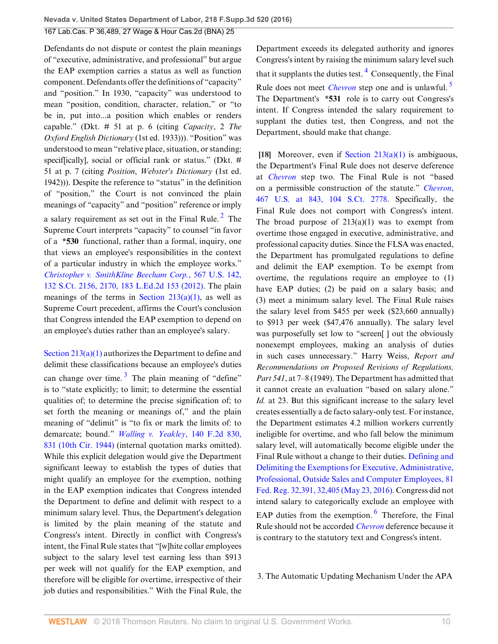Defendants do not dispute or contest the plain meanings of "executive, administrative, and professional" but argue the EAP exemption carries a status as well as function component. Defendants offer the definitions of "capacity" and "position." In 1930, "capacity" was understood to mean "position, condition, character, relation," or "to be in, put into...a position which enables or renders capable." (Dkt. # 51 at p. 6 (citing *Capacity*, 2 *The Oxford English Dictionary* (1st ed. 1933))). "Position" was understood to mean "relative place, situation, or standing; speciffically], social or official rank or status." (Dkt. # 51 at p. 7 (citing *Position*, *Webster's Dictionary* (1st ed. 1942))). Despite the reference to "status" in the definition of "position," the Court is not convinced the plain meanings of "capacity" and "position" reference or imply a salary requirement as set out in the Final Rule.<sup>[2](#page-12-1)</sup> The Supreme Court interprets "capacity" to counsel "in favor of a **\*530** functional, rather than a formal, inquiry, one that views an employee's responsibilities in the context of a particular industry in which the employee works." *[Christopher v. SmithKline Beecham Corp.](http://www.westlaw.com/Link/Document/FullText?findType=Y&serNum=2027916172&pubNum=0000708&originatingDoc=I108f8530b17511e6afc8be5a5c08bae9&refType=RP&fi=co_pp_sp_708_2170&originationContext=document&vr=3.0&rs=cblt1.0&transitionType=DocumentItem&contextData=(sc.UserEnteredCitation)#co_pp_sp_708_2170)*, 567 U.S. 142, [132 S.Ct. 2156, 2170, 183 L.Ed.2d 153 \(2012\).](http://www.westlaw.com/Link/Document/FullText?findType=Y&serNum=2027916172&pubNum=0000708&originatingDoc=I108f8530b17511e6afc8be5a5c08bae9&refType=RP&fi=co_pp_sp_708_2170&originationContext=document&vr=3.0&rs=cblt1.0&transitionType=DocumentItem&contextData=(sc.UserEnteredCitation)#co_pp_sp_708_2170) The plain meanings of the terms in Section  $213(a)(1)$ , as well as Supreme Court precedent, affirms the Court's conclusion that Congress intended the EAP exemption to depend on an employee's duties rather than an employee's salary.

<span id="page-9-2"></span>[Section 213\(a\)\(1\)](http://www.westlaw.com/Link/Document/FullText?findType=L&pubNum=1000546&cite=29USCAS213&originatingDoc=I108f8530b17511e6afc8be5a5c08bae9&refType=SP&originationContext=document&vr=3.0&rs=cblt1.0&transitionType=DocumentItem&contextData=(sc.UserEnteredCitation)#co_pp_7b9b000044381) authorizes the Department to define and delimit these classifications because an employee's duties can change over time.<sup>[3](#page-12-2)</sup> The plain meaning of "define" is to "state explicitly; to limit; to determine the essential qualities of; to determine the precise signification of; to set forth the meaning or meanings of," and the plain meaning of "delimit" is "to fix or mark the limits of: to demarcate; bound." *[Walling v. Yeakley](http://www.westlaw.com/Link/Document/FullText?findType=Y&serNum=1944117964&pubNum=0000350&originatingDoc=I108f8530b17511e6afc8be5a5c08bae9&refType=RP&fi=co_pp_sp_350_831&originationContext=document&vr=3.0&rs=cblt1.0&transitionType=DocumentItem&contextData=(sc.UserEnteredCitation)#co_pp_sp_350_831)*, 140 F.2d 830, [831 \(10th Cir. 1944\)](http://www.westlaw.com/Link/Document/FullText?findType=Y&serNum=1944117964&pubNum=0000350&originatingDoc=I108f8530b17511e6afc8be5a5c08bae9&refType=RP&fi=co_pp_sp_350_831&originationContext=document&vr=3.0&rs=cblt1.0&transitionType=DocumentItem&contextData=(sc.UserEnteredCitation)#co_pp_sp_350_831) (internal quotation marks omitted). While this explicit delegation would give the Department significant leeway to establish the types of duties that might qualify an employee for the exemption, nothing in the EAP exemption indicates that Congress intended the Department to define and delimit with respect to a minimum salary level. Thus, the Department's delegation is limited by the plain meaning of the statute and Congress's intent. Directly in conflict with Congress's intent, the Final Rule states that "[w]hite collar employees subject to the salary level test earning less than \$913 per week will not qualify for the EAP exemption, and therefore will be eligible for overtime, irrespective of their job duties and responsibilities." With the Final Rule, the <span id="page-9-4"></span><span id="page-9-3"></span>Department exceeds its delegated authority and ignores Congress's intent by raising the minimum salary level such that it supplants the duties test.  $\frac{4}{3}$  $\frac{4}{3}$  $\frac{4}{3}$  Consequently, the Final Rule does not meet *[Chevron](http://www.westlaw.com/Link/Document/FullText?findType=Y&serNum=1984130736&pubNum=0000780&originatingDoc=I108f8530b17511e6afc8be5a5c08bae9&refType=RP&originationContext=document&vr=3.0&rs=cblt1.0&transitionType=DocumentItem&contextData=(sc.UserEnteredCitation))* step one and is unlawful. [5](#page-12-4) The Department's **\*531** role is to carry out Congress's intent. If Congress intended the salary requirement to supplant the duties test, then Congress, and not the Department, should make that change.

<span id="page-9-1"></span><span id="page-9-0"></span>**[\[18](#page-2-1)]** Moreover, even if [Section 213\(a\)\(1\)](http://www.westlaw.com/Link/Document/FullText?findType=L&pubNum=1000546&cite=29USCAS213&originatingDoc=I108f8530b17511e6afc8be5a5c08bae9&refType=SP&originationContext=document&vr=3.0&rs=cblt1.0&transitionType=DocumentItem&contextData=(sc.UserEnteredCitation)#co_pp_7b9b000044381) is ambiguous, the Department's Final Rule does not deserve deference at *[Chevron](http://www.westlaw.com/Link/Document/FullText?findType=Y&serNum=1984130736&pubNum=0000780&originatingDoc=I108f8530b17511e6afc8be5a5c08bae9&refType=RP&originationContext=document&vr=3.0&rs=cblt1.0&transitionType=DocumentItem&contextData=(sc.UserEnteredCitation))* step two. The Final Rule is not "based on a permissible construction of the statute." *[Chevron](http://www.westlaw.com/Link/Document/FullText?findType=Y&serNum=1984130736&pubNum=0000708&originatingDoc=I108f8530b17511e6afc8be5a5c08bae9&refType=RP&originationContext=document&vr=3.0&rs=cblt1.0&transitionType=DocumentItem&contextData=(sc.UserEnteredCitation))*, [467 U.S. at 843, 104 S.Ct. 2778](http://www.westlaw.com/Link/Document/FullText?findType=Y&serNum=1984130736&pubNum=0000708&originatingDoc=I108f8530b17511e6afc8be5a5c08bae9&refType=RP&originationContext=document&vr=3.0&rs=cblt1.0&transitionType=DocumentItem&contextData=(sc.UserEnteredCitation)). Specifically, the Final Rule does not comport with Congress's intent. The broad purpose of  $213(a)(1)$  was to exempt from overtime those engaged in executive, administrative, and professional capacity duties. Since the FLSA was enacted, the Department has promulgated regulations to define and delimit the EAP exemption. To be exempt from overtime, the regulations require an employee to (1) have EAP duties; (2) be paid on a salary basis; and (3) meet a minimum salary level. The Final Rule raises the salary level from \$455 per week (\$23,660 annually) to \$913 per week (\$47,476 annually). The salary level was purposefully set low to "screen[ ] out the obviously nonexempt employees, making an analysis of duties in such cases unnecessary." Harry Weiss, *Report and Recommendations on Proposed Revisions of Regulations, Part 541*, at 7–8 (1949). The Department has admitted that it cannot create an evaluation "based on salary alone." *Id.* at 23. But this significant increase to the salary level creates essentially a de facto salary-only test. For instance, the Department estimates 4.2 million workers currently ineligible for overtime, and who fall below the minimum salary level, will automatically become eligible under the Final Rule without a change to their duties. [Defining and](http://www.westlaw.com/Link/Document/FullText?findType=l&pubNum=0001037&cite=UUID(I5629A23020B411E6991AF65206712E8A)&originatingDoc=I108f8530b17511e6afc8be5a5c08bae9&refType=CP&fi=co_pp_sp_1037_32391&originationContext=document&vr=3.0&rs=cblt1.0&transitionType=DocumentItem&contextData=(sc.UserEnteredCitation)#co_pp_sp_1037_32391) [Delimiting the Exemptions for Executive, Administrative,](http://www.westlaw.com/Link/Document/FullText?findType=l&pubNum=0001037&cite=UUID(I5629A23020B411E6991AF65206712E8A)&originatingDoc=I108f8530b17511e6afc8be5a5c08bae9&refType=CP&fi=co_pp_sp_1037_32391&originationContext=document&vr=3.0&rs=cblt1.0&transitionType=DocumentItem&contextData=(sc.UserEnteredCitation)#co_pp_sp_1037_32391) [Professional, Outside Sales and Computer Employees, 81](http://www.westlaw.com/Link/Document/FullText?findType=l&pubNum=0001037&cite=UUID(I5629A23020B411E6991AF65206712E8A)&originatingDoc=I108f8530b17511e6afc8be5a5c08bae9&refType=CP&fi=co_pp_sp_1037_32391&originationContext=document&vr=3.0&rs=cblt1.0&transitionType=DocumentItem&contextData=(sc.UserEnteredCitation)#co_pp_sp_1037_32391) [Fed. Reg. 32,391, 32,405 \(May 23, 2016\)](http://www.westlaw.com/Link/Document/FullText?findType=l&pubNum=0001037&cite=UUID(I5629A23020B411E6991AF65206712E8A)&originatingDoc=I108f8530b17511e6afc8be5a5c08bae9&refType=CP&fi=co_pp_sp_1037_32391&originationContext=document&vr=3.0&rs=cblt1.0&transitionType=DocumentItem&contextData=(sc.UserEnteredCitation)#co_pp_sp_1037_32391). Congress did not intend salary to categorically exclude an employee with EAP duties from the exemption. <sup>[6](#page-13-0)</sup> Therefore, the Final Rule should not be accorded *[Chevron](http://www.westlaw.com/Link/Document/FullText?findType=Y&serNum=1984130736&pubNum=0000780&originatingDoc=I108f8530b17511e6afc8be5a5c08bae9&refType=RP&originationContext=document&vr=3.0&rs=cblt1.0&transitionType=DocumentItem&contextData=(sc.UserEnteredCitation))* deference because it is contrary to the statutory text and Congress's intent.

<span id="page-9-5"></span>3. The Automatic Updating Mechanism Under the APA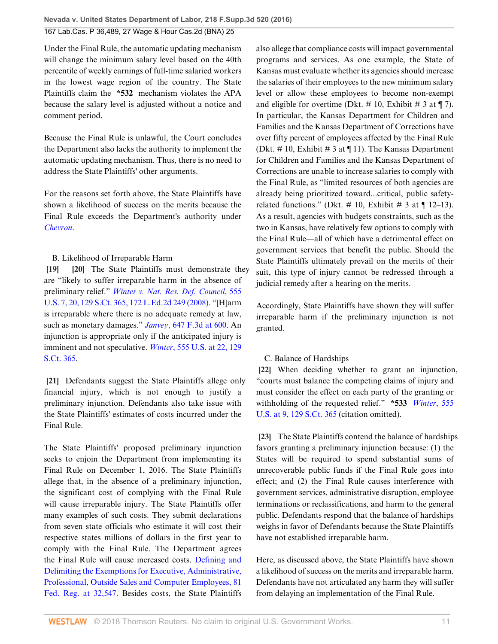Under the Final Rule, the automatic updating mechanism will change the minimum salary level based on the 40th percentile of weekly earnings of full-time salaried workers in the lowest wage region of the country. The State Plaintiffs claim the **\*532** mechanism violates the APA because the salary level is adjusted without a notice and comment period.

Because the Final Rule is unlawful, the Court concludes the Department also lacks the authority to implement the automatic updating mechanism. Thus, there is no need to address the State Plaintiffs' other arguments.

For the reasons set forth above, the State Plaintiffs have shown a likelihood of success on the merits because the Final Rule exceeds the Department's authority under *[Chevron](http://www.westlaw.com/Link/Document/FullText?findType=Y&serNum=1984130736&pubNum=0000780&originatingDoc=I108f8530b17511e6afc8be5a5c08bae9&refType=RP&originationContext=document&vr=3.0&rs=cblt1.0&transitionType=DocumentItem&contextData=(sc.UserEnteredCitation))*.

# <span id="page-10-1"></span><span id="page-10-0"></span>B. Likelihood of Irreparable Harm

**[\[19](#page-3-2)] [\[20](#page-3-3)]** The State Plaintiffs must demonstrate they are "likely to suffer irreparable harm in the absence of preliminary relief." *[Winter v. Nat. Res. Def. Council](http://www.westlaw.com/Link/Document/FullText?findType=Y&serNum=2017439125&pubNum=0000708&originatingDoc=I108f8530b17511e6afc8be5a5c08bae9&refType=RP&originationContext=document&vr=3.0&rs=cblt1.0&transitionType=DocumentItem&contextData=(sc.UserEnteredCitation))*, 555 [U.S. 7, 20, 129 S.Ct. 365, 172 L.Ed.2d 249 \(2008\).](http://www.westlaw.com/Link/Document/FullText?findType=Y&serNum=2017439125&pubNum=0000708&originatingDoc=I108f8530b17511e6afc8be5a5c08bae9&refType=RP&originationContext=document&vr=3.0&rs=cblt1.0&transitionType=DocumentItem&contextData=(sc.UserEnteredCitation)) "[H]arm is irreparable where there is no adequate remedy at law, such as monetary damages." *Janvey*[, 647 F.3d at 600](http://www.westlaw.com/Link/Document/FullText?findType=Y&serNum=2025759264&pubNum=0000506&originatingDoc=I108f8530b17511e6afc8be5a5c08bae9&refType=RP&fi=co_pp_sp_506_600&originationContext=document&vr=3.0&rs=cblt1.0&transitionType=DocumentItem&contextData=(sc.UserEnteredCitation)#co_pp_sp_506_600). An injunction is appropriate only if the anticipated injury is imminent and not speculative. *Winter*[, 555 U.S. at 22, 129](http://www.westlaw.com/Link/Document/FullText?findType=Y&serNum=2017439125&pubNum=0000708&originatingDoc=I108f8530b17511e6afc8be5a5c08bae9&refType=RP&originationContext=document&vr=3.0&rs=cblt1.0&transitionType=DocumentItem&contextData=(sc.UserEnteredCitation)) [S.Ct. 365.](http://www.westlaw.com/Link/Document/FullText?findType=Y&serNum=2017439125&pubNum=0000708&originatingDoc=I108f8530b17511e6afc8be5a5c08bae9&refType=RP&originationContext=document&vr=3.0&rs=cblt1.0&transitionType=DocumentItem&contextData=(sc.UserEnteredCitation))

<span id="page-10-2"></span>**[\[21](#page-3-0)]** Defendants suggest the State Plaintiffs allege only financial injury, which is not enough to justify a preliminary injunction. Defendants also take issue with the State Plaintiffs' estimates of costs incurred under the Final Rule.

The State Plaintiffs' proposed preliminary injunction seeks to enjoin the Department from implementing its Final Rule on December 1, 2016. The State Plaintiffs allege that, in the absence of a preliminary injunction, the significant cost of complying with the Final Rule will cause irreparable injury. The State Plaintiffs offer many examples of such costs. They submit declarations from seven state officials who estimate it will cost their respective states millions of dollars in the first year to comply with the Final Rule. The Department agrees the Final Rule will cause increased costs. [Defining and](http://www.westlaw.com/Link/Document/FullText?findType=l&pubNum=0001037&cite=UUID(I5629A23020B411E6991AF65206712E8A)&originatingDoc=I108f8530b17511e6afc8be5a5c08bae9&refType=CP&fi=co_pp_sp_1037_32547&originationContext=document&vr=3.0&rs=cblt1.0&transitionType=DocumentItem&contextData=(sc.UserEnteredCitation)#co_pp_sp_1037_32547) [Delimiting the Exemptions for Executive, Administrative,](http://www.westlaw.com/Link/Document/FullText?findType=l&pubNum=0001037&cite=UUID(I5629A23020B411E6991AF65206712E8A)&originatingDoc=I108f8530b17511e6afc8be5a5c08bae9&refType=CP&fi=co_pp_sp_1037_32547&originationContext=document&vr=3.0&rs=cblt1.0&transitionType=DocumentItem&contextData=(sc.UserEnteredCitation)#co_pp_sp_1037_32547) [Professional, Outside Sales and Computer Employees, 81](http://www.westlaw.com/Link/Document/FullText?findType=l&pubNum=0001037&cite=UUID(I5629A23020B411E6991AF65206712E8A)&originatingDoc=I108f8530b17511e6afc8be5a5c08bae9&refType=CP&fi=co_pp_sp_1037_32547&originationContext=document&vr=3.0&rs=cblt1.0&transitionType=DocumentItem&contextData=(sc.UserEnteredCitation)#co_pp_sp_1037_32547) [Fed. Reg. at 32,547.](http://www.westlaw.com/Link/Document/FullText?findType=l&pubNum=0001037&cite=UUID(I5629A23020B411E6991AF65206712E8A)&originatingDoc=I108f8530b17511e6afc8be5a5c08bae9&refType=CP&fi=co_pp_sp_1037_32547&originationContext=document&vr=3.0&rs=cblt1.0&transitionType=DocumentItem&contextData=(sc.UserEnteredCitation)#co_pp_sp_1037_32547) Besides costs, the State Plaintiffs also allege that compliance costs will impact governmental programs and services. As one example, the State of Kansas must evaluate whether its agencies should increase the salaries of their employees to the new minimum salary level or allow these employees to become non-exempt and eligible for overtime (Dkt.  $\#$  10, Exhibit  $\#$  3 at  $\P$  7). In particular, the Kansas Department for Children and Families and the Kansas Department of Corrections have over fifty percent of employees affected by the Final Rule (Dkt. #10, Exhibit #3 at  $\P$ 11). The Kansas Department for Children and Families and the Kansas Department of Corrections are unable to increase salaries to comply with the Final Rule, as "limited resources of both agencies are already being prioritized toward...critical, public safetyrelated functions." (Dkt. # 10, Exhibit # 3 at  $\P$  12–13). As a result, agencies with budgets constraints, such as the two in Kansas, have relatively few options to comply with the Final Rule—all of which have a detrimental effect on government services that benefit the public. Should the State Plaintiffs ultimately prevail on the merits of their suit, this type of injury cannot be redressed through a judicial remedy after a hearing on the merits.

Accordingly, State Plaintiffs have shown they will suffer irreparable harm if the preliminary injunction is not granted.

# <span id="page-10-3"></span>C. Balance of Hardships

**[\[22](#page-3-4)]** When deciding whether to grant an injunction, "courts must balance the competing claims of injury and must consider the effect on each party of the granting or withholding of the requested relief." **\*533** *[Winter](http://www.westlaw.com/Link/Document/FullText?findType=Y&serNum=2017439125&pubNum=0000708&originatingDoc=I108f8530b17511e6afc8be5a5c08bae9&refType=RP&originationContext=document&vr=3.0&rs=cblt1.0&transitionType=DocumentItem&contextData=(sc.UserEnteredCitation))*, 555 [U.S. at 9, 129 S.Ct. 365](http://www.westlaw.com/Link/Document/FullText?findType=Y&serNum=2017439125&pubNum=0000708&originatingDoc=I108f8530b17511e6afc8be5a5c08bae9&refType=RP&originationContext=document&vr=3.0&rs=cblt1.0&transitionType=DocumentItem&contextData=(sc.UserEnteredCitation)) (citation omitted).

<span id="page-10-4"></span>**[\[23](#page-3-1)]** The State Plaintiffs contend the balance of hardships favors granting a preliminary injunction because: (1) the States will be required to spend substantial sums of unrecoverable public funds if the Final Rule goes into effect; and (2) the Final Rule causes interference with government services, administrative disruption, employee terminations or reclassifications, and harm to the general public. Defendants respond that the balance of hardships weighs in favor of Defendants because the State Plaintiffs have not established irreparable harm.

Here, as discussed above, the State Plaintiffs have shown a likelihood of success on the merits and irreparable harm. Defendants have not articulated any harm they will suffer from delaying an implementation of the Final Rule.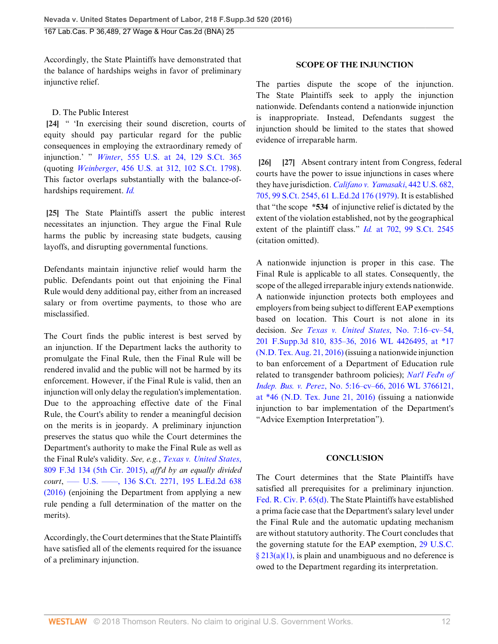Accordingly, the State Plaintiffs have demonstrated that the balance of hardships weighs in favor of preliminary injunctive relief.

# <span id="page-11-0"></span>D. The Public Interest

**[\[24](#page-3-5)]** " 'In exercising their sound discretion, courts of equity should pay particular regard for the public consequences in employing the extraordinary remedy of injunction.' " *Winter*[, 555 U.S. at 24, 129 S.Ct. 365](http://www.westlaw.com/Link/Document/FullText?findType=Y&serNum=2017439125&pubNum=0000708&originatingDoc=I108f8530b17511e6afc8be5a5c08bae9&refType=RP&originationContext=document&vr=3.0&rs=cblt1.0&transitionType=DocumentItem&contextData=(sc.UserEnteredCitation)) (quoting *Weinberger*[, 456 U.S. at 312, 102 S.Ct. 1798\)](http://www.westlaw.com/Link/Document/FullText?findType=Y&serNum=1982119204&pubNum=0000708&originatingDoc=I108f8530b17511e6afc8be5a5c08bae9&refType=RP&fi=co_pp_sp_708_312&originationContext=document&vr=3.0&rs=cblt1.0&transitionType=DocumentItem&contextData=(sc.UserEnteredCitation)#co_pp_sp_708_312). This factor overlaps substantially with the balance-ofhardships requirement. *[Id.](http://www.westlaw.com/Link/Document/FullText?findType=Y&serNum=2017439125&pubNum=0000780&originatingDoc=I108f8530b17511e6afc8be5a5c08bae9&refType=RP&originationContext=document&vr=3.0&rs=cblt1.0&transitionType=DocumentItem&contextData=(sc.UserEnteredCitation))*

<span id="page-11-1"></span>**[\[25](#page-4-0)]** The State Plaintiffs assert the public interest necessitates an injunction. They argue the Final Rule harms the public by increasing state budgets, causing layoffs, and disrupting governmental functions.

Defendants maintain injunctive relief would harm the public. Defendants point out that enjoining the Final Rule would deny additional pay, either from an increased salary or from overtime payments, to those who are misclassified.

The Court finds the public interest is best served by an injunction. If the Department lacks the authority to promulgate the Final Rule, then the Final Rule will be rendered invalid and the public will not be harmed by its enforcement. However, if the Final Rule is valid, then an injunction will only delay the regulation's implementation. Due to the approaching effective date of the Final Rule, the Court's ability to render a meaningful decision on the merits is in jeopardy. A preliminary injunction preserves the status quo while the Court determines the Department's authority to make the Final Rule as well as the Final Rule's validity. *See, e.g.*, *[Texas v. United States](http://www.westlaw.com/Link/Document/FullText?findType=Y&serNum=2037562546&pubNum=0000506&originatingDoc=I108f8530b17511e6afc8be5a5c08bae9&refType=RP&originationContext=document&vr=3.0&rs=cblt1.0&transitionType=DocumentItem&contextData=(sc.UserEnteredCitation))*, [809 F.3d 134 \(5th Cir. 2015\),](http://www.westlaw.com/Link/Document/FullText?findType=Y&serNum=2037562546&pubNum=0000506&originatingDoc=I108f8530b17511e6afc8be5a5c08bae9&refType=RP&originationContext=document&vr=3.0&rs=cblt1.0&transitionType=DocumentItem&contextData=(sc.UserEnteredCitation)) *aff'd by an equally divided court*, [––– U.S. ––––, 136 S.Ct. 2271, 195 L.Ed.2d 638](http://www.westlaw.com/Link/Document/FullText?findType=Y&serNum=2039223805&pubNum=0000708&originatingDoc=I108f8530b17511e6afc8be5a5c08bae9&refType=RP&originationContext=document&vr=3.0&rs=cblt1.0&transitionType=DocumentItem&contextData=(sc.UserEnteredCitation)) [\(2016\)](http://www.westlaw.com/Link/Document/FullText?findType=Y&serNum=2039223805&pubNum=0000708&originatingDoc=I108f8530b17511e6afc8be5a5c08bae9&refType=RP&originationContext=document&vr=3.0&rs=cblt1.0&transitionType=DocumentItem&contextData=(sc.UserEnteredCitation)) (enjoining the Department from applying a new rule pending a full determination of the matter on the merits).

Accordingly, the Court determines that the State Plaintiffs have satisfied all of the elements required for the issuance of a preliminary injunction.

# **SCOPE OF THE INJUNCTION**

The parties dispute the scope of the injunction. The State Plaintiffs seek to apply the injunction nationwide. Defendants contend a nationwide injunction is inappropriate. Instead, Defendants suggest the injunction should be limited to the states that showed evidence of irreparable harm.

<span id="page-11-3"></span><span id="page-11-2"></span>**[\[26](#page-4-1)] [\[27\]](#page-4-2)** Absent contrary intent from Congress, federal courts have the power to issue injunctions in cases where they have jurisdiction. *[Califano v. Yamasaki](http://www.westlaw.com/Link/Document/FullText?findType=Y&serNum=1979135153&pubNum=0000708&originatingDoc=I108f8530b17511e6afc8be5a5c08bae9&refType=RP&originationContext=document&vr=3.0&rs=cblt1.0&transitionType=DocumentItem&contextData=(sc.UserEnteredCitation))*, 442 U.S. 682, [705, 99 S.Ct. 2545, 61 L.Ed.2d 176 \(1979\)](http://www.westlaw.com/Link/Document/FullText?findType=Y&serNum=1979135153&pubNum=0000708&originatingDoc=I108f8530b17511e6afc8be5a5c08bae9&refType=RP&originationContext=document&vr=3.0&rs=cblt1.0&transitionType=DocumentItem&contextData=(sc.UserEnteredCitation)). It is established that "the scope **\*534** of injunctive relief is dictated by the extent of the violation established, not by the geographical extent of the plaintiff class." *Id.* [at 702, 99 S.Ct. 2545](http://www.westlaw.com/Link/Document/FullText?findType=Y&serNum=1979135153&pubNum=0000708&originatingDoc=I108f8530b17511e6afc8be5a5c08bae9&refType=RP&originationContext=document&vr=3.0&rs=cblt1.0&transitionType=DocumentItem&contextData=(sc.UserEnteredCitation)) (citation omitted).

A nationwide injunction is proper in this case. The Final Rule is applicable to all states. Consequently, the scope of the alleged irreparable injury extends nationwide. A nationwide injunction protects both employees and employers from being subject to different EAP exemptions based on location. This Court is not alone in its decision. *See [Texas v. United States](http://www.westlaw.com/Link/Document/FullText?findType=Y&serNum=2039627225&pubNum=0007903&originatingDoc=I108f8530b17511e6afc8be5a5c08bae9&refType=RP&fi=co_pp_sp_7903_835&originationContext=document&vr=3.0&rs=cblt1.0&transitionType=DocumentItem&contextData=(sc.UserEnteredCitation)#co_pp_sp_7903_835)*, No. 7:16–cv–54, [201 F.Supp.3d 810, 835–36, 2016 WL 4426495, at \\*17](http://www.westlaw.com/Link/Document/FullText?findType=Y&serNum=2039627225&pubNum=0007903&originatingDoc=I108f8530b17511e6afc8be5a5c08bae9&refType=RP&fi=co_pp_sp_7903_835&originationContext=document&vr=3.0&rs=cblt1.0&transitionType=DocumentItem&contextData=(sc.UserEnteredCitation)#co_pp_sp_7903_835) [\(N.D. Tex. Aug. 21, 2016\)](http://www.westlaw.com/Link/Document/FullText?findType=Y&serNum=2039627225&pubNum=0007903&originatingDoc=I108f8530b17511e6afc8be5a5c08bae9&refType=RP&fi=co_pp_sp_7903_835&originationContext=document&vr=3.0&rs=cblt1.0&transitionType=DocumentItem&contextData=(sc.UserEnteredCitation)#co_pp_sp_7903_835) (issuing a nationwide injunction to ban enforcement of a Department of Education rule related to transgender bathroom policies); *[Nat'l Fed'n of](http://www.westlaw.com/Link/Document/FullText?findType=Y&serNum=2039363401&pubNum=0000999&originatingDoc=I108f8530b17511e6afc8be5a5c08bae9&refType=RP&originationContext=document&vr=3.0&rs=cblt1.0&transitionType=DocumentItem&contextData=(sc.UserEnteredCitation)) Indep. Bus. v. Perez*[, No. 5:16–cv–66, 2016 WL 3766121,](http://www.westlaw.com/Link/Document/FullText?findType=Y&serNum=2039363401&pubNum=0000999&originatingDoc=I108f8530b17511e6afc8be5a5c08bae9&refType=RP&originationContext=document&vr=3.0&rs=cblt1.0&transitionType=DocumentItem&contextData=(sc.UserEnteredCitation)) [at \\*46 \(N.D. Tex. June 21, 2016\)](http://www.westlaw.com/Link/Document/FullText?findType=Y&serNum=2039363401&pubNum=0000999&originatingDoc=I108f8530b17511e6afc8be5a5c08bae9&refType=RP&originationContext=document&vr=3.0&rs=cblt1.0&transitionType=DocumentItem&contextData=(sc.UserEnteredCitation)) (issuing a nationwide injunction to bar implementation of the Department's "Advice Exemption Interpretation").

# **CONCLUSION**

The Court determines that the State Plaintiffs have satisfied all prerequisites for a preliminary injunction. [Fed. R. Civ. P. 65\(d\).](http://www.westlaw.com/Link/Document/FullText?findType=L&pubNum=1000600&cite=USFRCPR65&originatingDoc=I108f8530b17511e6afc8be5a5c08bae9&refType=LQ&originationContext=document&vr=3.0&rs=cblt1.0&transitionType=DocumentItem&contextData=(sc.UserEnteredCitation)) The State Plaintiffs have established a prima facie case that the Department's salary level under the Final Rule and the automatic updating mechanism are without statutory authority. The Court concludes that the governing statute for the EAP exemption, [29 U.S.C.](http://www.westlaw.com/Link/Document/FullText?findType=L&pubNum=1000546&cite=29USCAS213&originatingDoc=I108f8530b17511e6afc8be5a5c08bae9&refType=SP&originationContext=document&vr=3.0&rs=cblt1.0&transitionType=DocumentItem&contextData=(sc.UserEnteredCitation)#co_pp_7b9b000044381)  $§ 213(a)(1)$ , is plain and unambiguous and no deference is owed to the Department regarding its interpretation.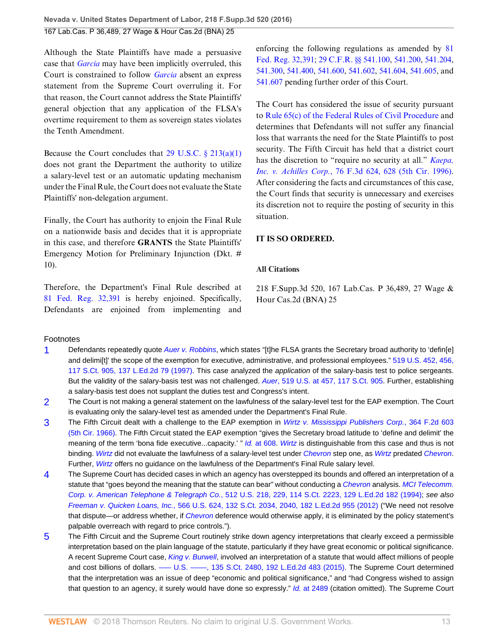Although the State Plaintiffs have made a persuasive case that *[Garcia](http://www.westlaw.com/Link/Document/FullText?findType=Y&serNum=1985108657&pubNum=0000780&originatingDoc=I108f8530b17511e6afc8be5a5c08bae9&refType=RP&originationContext=document&vr=3.0&rs=cblt1.0&transitionType=DocumentItem&contextData=(sc.UserEnteredCitation))* may have been implicitly overruled, this Court is constrained to follow *[Garcia](http://www.westlaw.com/Link/Document/FullText?findType=Y&serNum=1985108657&pubNum=0000780&originatingDoc=I108f8530b17511e6afc8be5a5c08bae9&refType=RP&originationContext=document&vr=3.0&rs=cblt1.0&transitionType=DocumentItem&contextData=(sc.UserEnteredCitation))* absent an express statement from the Supreme Court overruling it. For that reason, the Court cannot address the State Plaintiffs' general objection that any application of the FLSA's overtime requirement to them as sovereign states violates the Tenth Amendment.

Because the Court concludes that  $29 \text{ U.S.C.} \$   $213(a)(1)$ does not grant the Department the authority to utilize a salary-level test or an automatic updating mechanism under the Final Rule, the Court does not evaluate the State Plaintiffs' non-delegation argument.

Finally, the Court has authority to enjoin the Final Rule on a nationwide basis and decides that it is appropriate in this case, and therefore **GRANTS** the State Plaintiffs' Emergency Motion for Preliminary Injunction (Dkt. # 10).

Therefore, the Department's Final Rule described at [81 Fed. Reg. 32,391](http://www.westlaw.com/Link/Document/FullText?findType=l&pubNum=0001037&cite=UUID(I5629A23020B411E6991AF65206712E8A)&originatingDoc=I108f8530b17511e6afc8be5a5c08bae9&refType=CP&fi=co_pp_sp_1037_32391&originationContext=document&vr=3.0&rs=cblt1.0&transitionType=DocumentItem&contextData=(sc.UserEnteredCitation)#co_pp_sp_1037_32391) is hereby enjoined. Specifically, Defendants are enjoined from implementing and enforcing the following regulations as amended by [81](http://www.westlaw.com/Link/Document/FullText?findType=l&pubNum=0001037&cite=UUID(I5629A23020B411E6991AF65206712E8A)&originatingDoc=I108f8530b17511e6afc8be5a5c08bae9&refType=CP&fi=co_pp_sp_1037_32391&originationContext=document&vr=3.0&rs=cblt1.0&transitionType=DocumentItem&contextData=(sc.UserEnteredCitation)#co_pp_sp_1037_32391) [Fed. Reg. 32,391;](http://www.westlaw.com/Link/Document/FullText?findType=l&pubNum=0001037&cite=UUID(I5629A23020B411E6991AF65206712E8A)&originatingDoc=I108f8530b17511e6afc8be5a5c08bae9&refType=CP&fi=co_pp_sp_1037_32391&originationContext=document&vr=3.0&rs=cblt1.0&transitionType=DocumentItem&contextData=(sc.UserEnteredCitation)#co_pp_sp_1037_32391) [29 C.F.R. §§ 541.100](http://www.westlaw.com/Link/Document/FullText?findType=L&pubNum=1000547&cite=29CFRS541.100&originatingDoc=I108f8530b17511e6afc8be5a5c08bae9&refType=LQ&originationContext=document&vr=3.0&rs=cblt1.0&transitionType=DocumentItem&contextData=(sc.UserEnteredCitation)), [541.200](http://www.westlaw.com/Link/Document/FullText?findType=L&pubNum=1000547&cite=29CFRS541.200&originatingDoc=I108f8530b17511e6afc8be5a5c08bae9&refType=LQ&originationContext=document&vr=3.0&rs=cblt1.0&transitionType=DocumentItem&contextData=(sc.UserEnteredCitation)), [541.204](http://www.westlaw.com/Link/Document/FullText?findType=L&pubNum=1000547&cite=29CFRS541.204&originatingDoc=I108f8530b17511e6afc8be5a5c08bae9&refType=LQ&originationContext=document&vr=3.0&rs=cblt1.0&transitionType=DocumentItem&contextData=(sc.UserEnteredCitation)), [541.300,](http://www.westlaw.com/Link/Document/FullText?findType=L&pubNum=1000547&cite=29CFRS541.300&originatingDoc=I108f8530b17511e6afc8be5a5c08bae9&refType=LQ&originationContext=document&vr=3.0&rs=cblt1.0&transitionType=DocumentItem&contextData=(sc.UserEnteredCitation)) [541.400,](http://www.westlaw.com/Link/Document/FullText?findType=L&pubNum=1000547&cite=29CFRS541.400&originatingDoc=I108f8530b17511e6afc8be5a5c08bae9&refType=LQ&originationContext=document&vr=3.0&rs=cblt1.0&transitionType=DocumentItem&contextData=(sc.UserEnteredCitation)) [541.600](http://www.westlaw.com/Link/Document/FullText?findType=L&pubNum=1000547&cite=29CFRS541.600&originatingDoc=I108f8530b17511e6afc8be5a5c08bae9&refType=LQ&originationContext=document&vr=3.0&rs=cblt1.0&transitionType=DocumentItem&contextData=(sc.UserEnteredCitation)), [541.602](http://www.westlaw.com/Link/Document/FullText?findType=L&pubNum=1000547&cite=29CFRS541.602&originatingDoc=I108f8530b17511e6afc8be5a5c08bae9&refType=LQ&originationContext=document&vr=3.0&rs=cblt1.0&transitionType=DocumentItem&contextData=(sc.UserEnteredCitation)), [541.604](http://www.westlaw.com/Link/Document/FullText?findType=L&pubNum=1000547&cite=29CFRS541.604&originatingDoc=I108f8530b17511e6afc8be5a5c08bae9&refType=LQ&originationContext=document&vr=3.0&rs=cblt1.0&transitionType=DocumentItem&contextData=(sc.UserEnteredCitation)), [541.605,](http://www.westlaw.com/Link/Document/FullText?findType=L&pubNum=1000547&cite=29CFRS541.605&originatingDoc=I108f8530b17511e6afc8be5a5c08bae9&refType=LQ&originationContext=document&vr=3.0&rs=cblt1.0&transitionType=DocumentItem&contextData=(sc.UserEnteredCitation)) and [541.607](http://www.westlaw.com/Link/Document/FullText?findType=L&pubNum=1000547&cite=29CFRS541.607&originatingDoc=I108f8530b17511e6afc8be5a5c08bae9&refType=LQ&originationContext=document&vr=3.0&rs=cblt1.0&transitionType=DocumentItem&contextData=(sc.UserEnteredCitation)) pending further order of this Court.

The Court has considered the issue of security pursuant to [Rule 65\(c\) of the Federal Rules of Civil Procedure](http://www.westlaw.com/Link/Document/FullText?findType=L&pubNum=1000600&cite=USFRCPR65&originatingDoc=I108f8530b17511e6afc8be5a5c08bae9&refType=LQ&originationContext=document&vr=3.0&rs=cblt1.0&transitionType=DocumentItem&contextData=(sc.UserEnteredCitation)) and determines that Defendants will not suffer any financial loss that warrants the need for the State Plaintiffs to post security. The Fifth Circuit has held that a district court has the discretion to "require no security at all." *[Kaepa,](http://www.westlaw.com/Link/Document/FullText?findType=Y&serNum=1996052623&pubNum=0000506&originatingDoc=I108f8530b17511e6afc8be5a5c08bae9&refType=RP&fi=co_pp_sp_506_628&originationContext=document&vr=3.0&rs=cblt1.0&transitionType=DocumentItem&contextData=(sc.UserEnteredCitation)#co_pp_sp_506_628) Inc. v. Achilles Corp.*[, 76 F.3d 624, 628 \(5th Cir. 1996\)](http://www.westlaw.com/Link/Document/FullText?findType=Y&serNum=1996052623&pubNum=0000506&originatingDoc=I108f8530b17511e6afc8be5a5c08bae9&refType=RP&fi=co_pp_sp_506_628&originationContext=document&vr=3.0&rs=cblt1.0&transitionType=DocumentItem&contextData=(sc.UserEnteredCitation)#co_pp_sp_506_628). After considering the facts and circumstances of this case, the Court finds that security is unnecessary and exercises its discretion not to require the posting of security in this situation.

# **IT IS SO ORDERED.**

## **All Citations**

218 F.Supp.3d 520, 167 Lab.Cas. P 36,489, 27 Wage & Hour Cas.2d (BNA) 25

## Footnotes

- <span id="page-12-0"></span>[1](#page-8-7) Defendants repeatedly quote [Auer v. Robbins](http://www.westlaw.com/Link/Document/FullText?findType=Y&serNum=1997053629&pubNum=0000780&originatingDoc=I108f8530b17511e6afc8be5a5c08bae9&refType=RP&originationContext=document&vr=3.0&rs=cblt1.0&transitionType=DocumentItem&contextData=(sc.UserEnteredCitation)), which states "[t]he FLSA grants the Secretary broad authority to 'defin[e] and delimi[t]' the scope of the exemption for executive, administrative, and professional employees." [519 U.S. 452, 456,](http://www.westlaw.com/Link/Document/FullText?findType=Y&serNum=1997053629&pubNum=0000708&originatingDoc=I108f8530b17511e6afc8be5a5c08bae9&refType=RP&originationContext=document&vr=3.0&rs=cblt1.0&transitionType=DocumentItem&contextData=(sc.UserEnteredCitation)) [117 S.Ct. 905, 137 L.Ed.2d 79 \(1997\).](http://www.westlaw.com/Link/Document/FullText?findType=Y&serNum=1997053629&pubNum=0000708&originatingDoc=I108f8530b17511e6afc8be5a5c08bae9&refType=RP&originationContext=document&vr=3.0&rs=cblt1.0&transitionType=DocumentItem&contextData=(sc.UserEnteredCitation)) This case analyzed the application of the salary-basis test to police sergeants. But the validity of the salary-basis test was not challenged. Auer[, 519 U.S. at 457, 117 S.Ct. 905.](http://www.westlaw.com/Link/Document/FullText?findType=Y&serNum=1997053629&pubNum=0000708&originatingDoc=I108f8530b17511e6afc8be5a5c08bae9&refType=RP&originationContext=document&vr=3.0&rs=cblt1.0&transitionType=DocumentItem&contextData=(sc.UserEnteredCitation)) Further, establishing a salary-basis test does not supplant the duties test and Congress's intent.
- <span id="page-12-1"></span>[2](#page-9-1) The Court is not making a general statement on the lawfulness of the salary-level test for the EAP exemption. The Court is evaluating only the salary-level test as amended under the Department's Final Rule.
- <span id="page-12-2"></span>[3](#page-9-2) The Fifth Circuit dealt with a challenge to the EAP exemption in [Wirtz v. Mississippi Publishers Corp.](http://www.westlaw.com/Link/Document/FullText?findType=Y&serNum=1966122063&pubNum=0000350&originatingDoc=I108f8530b17511e6afc8be5a5c08bae9&refType=RP&originationContext=document&vr=3.0&rs=cblt1.0&transitionType=DocumentItem&contextData=(sc.UserEnteredCitation)), 364 F.2d 603 [\(5th Cir. 1966\)](http://www.westlaw.com/Link/Document/FullText?findType=Y&serNum=1966122063&pubNum=0000350&originatingDoc=I108f8530b17511e6afc8be5a5c08bae9&refType=RP&originationContext=document&vr=3.0&rs=cblt1.0&transitionType=DocumentItem&contextData=(sc.UserEnteredCitation)). The Fifth Circuit stated the EAP exemption "gives the Secretary broad latitude to 'define and delimit' the meaning of the term 'bona fide executive...capacity.' " Id. [at 608](http://www.westlaw.com/Link/Document/FullText?findType=Y&serNum=1966122063&pubNum=0000350&originatingDoc=I108f8530b17511e6afc8be5a5c08bae9&refType=RP&fi=co_pp_sp_350_608&originationContext=document&vr=3.0&rs=cblt1.0&transitionType=DocumentItem&contextData=(sc.UserEnteredCitation)#co_pp_sp_350_608). [Wirtz](http://www.westlaw.com/Link/Document/FullText?findType=Y&serNum=1966122063&originatingDoc=I108f8530b17511e6afc8be5a5c08bae9&refType=RP&originationContext=document&vr=3.0&rs=cblt1.0&transitionType=DocumentItem&contextData=(sc.UserEnteredCitation)) is distinguishable from this case and thus is not binding. [Wirtz](http://www.westlaw.com/Link/Document/FullText?findType=Y&serNum=1966122063&pubNum=0000350&originatingDoc=I108f8530b17511e6afc8be5a5c08bae9&refType=RP&originationContext=document&vr=3.0&rs=cblt1.0&transitionType=DocumentItem&contextData=(sc.UserEnteredCitation)) did not evaluate the lawfulness of a salary-level test under [Chevron](http://www.westlaw.com/Link/Document/FullText?findType=Y&serNum=1984130736&pubNum=0000780&originatingDoc=I108f8530b17511e6afc8be5a5c08bae9&refType=RP&originationContext=document&vr=3.0&rs=cblt1.0&transitionType=DocumentItem&contextData=(sc.UserEnteredCitation)) step one, as Wirtz predated Chevron. Further, [Wirtz](http://www.westlaw.com/Link/Document/FullText?findType=Y&serNum=1966122063&pubNum=0000350&originatingDoc=I108f8530b17511e6afc8be5a5c08bae9&refType=RP&originationContext=document&vr=3.0&rs=cblt1.0&transitionType=DocumentItem&contextData=(sc.UserEnteredCitation)) offers no guidance on the lawfulness of the Department's Final Rule salary level.
- <span id="page-12-3"></span>[4](#page-9-3) The Supreme Court has decided cases in which an agency has overstepped its bounds and offered an interpretation of a statute that "goes beyond the meaning that the statute can bear" without conducting a [Chevron](http://www.westlaw.com/Link/Document/FullText?findType=Y&serNum=1984130736&pubNum=0000780&originatingDoc=I108f8530b17511e6afc8be5a5c08bae9&refType=RP&originationContext=document&vr=3.0&rs=cblt1.0&transitionType=DocumentItem&contextData=(sc.UserEnteredCitation)) analysis. [MCI Telecomm.](http://www.westlaw.com/Link/Document/FullText?findType=Y&serNum=1994131042&pubNum=0000708&originatingDoc=I108f8530b17511e6afc8be5a5c08bae9&refType=RP&originationContext=document&vr=3.0&rs=cblt1.0&transitionType=DocumentItem&contextData=(sc.UserEnteredCitation)) Corp. v. American Telephone & Telegraph Co.[, 512 U.S. 218, 229, 114 S.Ct. 2223, 129 L.Ed.2d 182 \(1994\);](http://www.westlaw.com/Link/Document/FullText?findType=Y&serNum=1994131042&pubNum=0000708&originatingDoc=I108f8530b17511e6afc8be5a5c08bae9&refType=RP&originationContext=document&vr=3.0&rs=cblt1.0&transitionType=DocumentItem&contextData=(sc.UserEnteredCitation)) see also Freeman v. Quicken Loans, Inc.[, 566 U.S. 624, 132 S.Ct. 2034, 2040, 182 L.Ed.2d 955 \(2012\)](http://www.westlaw.com/Link/Document/FullText?findType=Y&serNum=2027757072&pubNum=0000708&originatingDoc=I108f8530b17511e6afc8be5a5c08bae9&refType=RP&fi=co_pp_sp_708_2040&originationContext=document&vr=3.0&rs=cblt1.0&transitionType=DocumentItem&contextData=(sc.UserEnteredCitation)#co_pp_sp_708_2040) ("We need not resolve that dispute—or address whether, if *[Chevron](http://www.westlaw.com/Link/Document/FullText?findType=Y&serNum=1984130736&pubNum=0000780&originatingDoc=I108f8530b17511e6afc8be5a5c08bae9&refType=RP&originationContext=document&vr=3.0&rs=cblt1.0&transitionType=DocumentItem&contextData=(sc.UserEnteredCitation))* deference would otherwise apply, it is eliminated by the policy statement's palpable overreach with regard to price controls.").
- <span id="page-12-4"></span>[5](#page-9-4) The Fifth Circuit and the Supreme Court routinely strike down agency interpretations that clearly exceed a permissible interpretation based on the plain language of the statute, particularly if they have great economic or political significance. A recent Supreme Court case, [King v. Burwell](http://www.westlaw.com/Link/Document/FullText?findType=Y&serNum=2036534911&pubNum=0000708&originatingDoc=I108f8530b17511e6afc8be5a5c08bae9&refType=RP&originationContext=document&vr=3.0&rs=cblt1.0&transitionType=DocumentItem&contextData=(sc.UserEnteredCitation)), involved an interpretation of a statute that would affect millions of people and cost billions of dollars. —– U.S. —–, 135 S.Ct. 2480, 192 L.Ed.2d 483 (2015). The Supreme Court determined that the interpretation was an issue of deep "economic and political significance," and "had Congress wished to assign that question to an agency, it surely would have done so expressly." Id. [at 2489](http://www.westlaw.com/Link/Document/FullText?findType=Y&serNum=2036534911&pubNum=0000708&originatingDoc=I108f8530b17511e6afc8be5a5c08bae9&refType=RP&fi=co_pp_sp_708_2489&originationContext=document&vr=3.0&rs=cblt1.0&transitionType=DocumentItem&contextData=(sc.UserEnteredCitation)#co_pp_sp_708_2489) (citation omitted). The Supreme Court